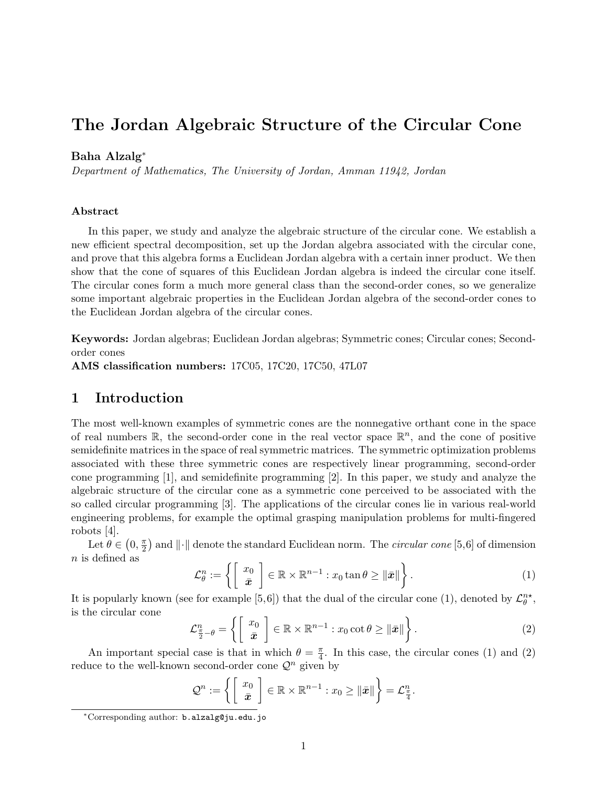# The Jordan Algebraic Structure of the Circular Cone

#### Baha Alzalg<sup>∗</sup>

Department of Mathematics, The University of Jordan, Amman 11942, Jordan

#### Abstract

In this paper, we study and analyze the algebraic structure of the circular cone. We establish a new efficient spectral decomposition, set up the Jordan algebra associated with the circular cone, and prove that this algebra forms a Euclidean Jordan algebra with a certain inner product. We then show that the cone of squares of this Euclidean Jordan algebra is indeed the circular cone itself. The circular cones form a much more general class than the second-order cones, so we generalize some important algebraic properties in the Euclidean Jordan algebra of the second-order cones to the Euclidean Jordan algebra of the circular cones.

Keywords: Jordan algebras; Euclidean Jordan algebras; Symmetric cones; Circular cones; Secondorder cones

AMS classification numbers: 17C05, 17C20, 17C50, 47L07

# 1 Introduction

The most well-known examples of symmetric cones are the nonnegative orthant cone in the space of real numbers  $\mathbb{R}$ , the second-order cone in the real vector space  $\mathbb{R}^n$ , and the cone of positive semidefinite matrices in the space of real symmetric matrices. The symmetric optimization problems associated with these three symmetric cones are respectively linear programming, second-order cone programming [1], and semidefinite programming [2]. In this paper, we study and analyze the algebraic structure of the circular cone as a symmetric cone perceived to be associated with the so called circular programming [3]. The applications of the circular cones lie in various real-world engineering problems, for example the optimal grasping manipulation problems for multi-fingered robots [4].

Let  $\theta \in (0, \frac{\pi}{2})$  $\frac{\pi}{2}$  and  $\|\cdot\|$  denote the standard Euclidean norm. The *circular cone* [5,6] of dimension n is defined as

$$
\mathcal{L}_{\theta}^{n} := \left\{ \left[ \begin{array}{c} x_{0} \\ \bar{x} \end{array} \right] \in \mathbb{R} \times \mathbb{R}^{n-1} : x_{0} \tan \theta \geq ||\bar{x}|| \right\}.
$$
 (1)

It is popularly known (see for example [5,6]) that the dual of the circular cone (1), denoted by  $\mathcal{L}_{\theta}^{n*}$ , is the circular cone

$$
\mathcal{L}_{\frac{\pi}{2}-\theta}^{n} = \left\{ \left[ \begin{array}{c} x_0 \\ \bar{x} \end{array} \right] \in \mathbb{R} \times \mathbb{R}^{n-1} : x_0 \cot \theta \ge ||\bar{x}|| \right\}.
$$
 (2)

An important special case is that in which  $\theta = \frac{\pi}{4}$  $\frac{\pi}{4}$ . In this case, the circular cones (1) and (2) reduce to the well-known second-order cone  $\mathcal{Q}^n$  given by

$$
\mathcal{Q}^n := \left\{ \begin{bmatrix} x_0 \\ \bar{x} \end{bmatrix} \in \mathbb{R} \times \mathbb{R}^{n-1} : x_0 \geq ||\bar{x}|| \right\} = \mathcal{L}^n_{\frac{\pi}{4}}.
$$

<sup>∗</sup>Corresponding author: b.alzalg@ju.edu.jo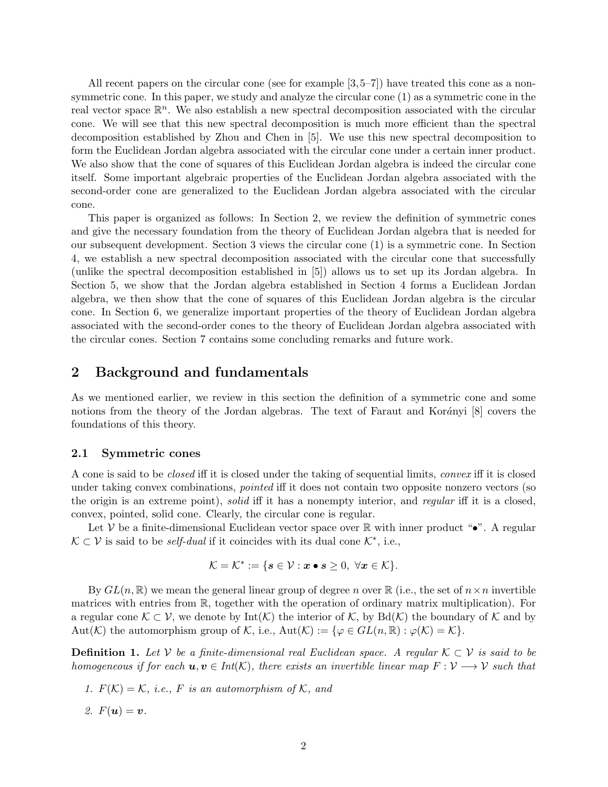All recent papers on the circular cone (see for example [3,5–7]) have treated this cone as a nonsymmetric cone. In this paper, we study and analyze the circular cone (1) as a symmetric cone in the real vector space  $\mathbb{R}^n$ . We also establish a new spectral decomposition associated with the circular cone. We will see that this new spectral decomposition is much more efficient than the spectral decomposition established by Zhou and Chen in [5]. We use this new spectral decomposition to form the Euclidean Jordan algebra associated with the circular cone under a certain inner product. We also show that the cone of squares of this Euclidean Jordan algebra is indeed the circular cone itself. Some important algebraic properties of the Euclidean Jordan algebra associated with the second-order cone are generalized to the Euclidean Jordan algebra associated with the circular cone.

This paper is organized as follows: In Section 2, we review the definition of symmetric cones and give the necessary foundation from the theory of Euclidean Jordan algebra that is needed for our subsequent development. Section 3 views the circular cone (1) is a symmetric cone. In Section 4, we establish a new spectral decomposition associated with the circular cone that successfully (unlike the spectral decomposition established in [5]) allows us to set up its Jordan algebra. In Section 5, we show that the Jordan algebra established in Section 4 forms a Euclidean Jordan algebra, we then show that the cone of squares of this Euclidean Jordan algebra is the circular cone. In Section 6, we generalize important properties of the theory of Euclidean Jordan algebra associated with the second-order cones to the theory of Euclidean Jordan algebra associated with the circular cones. Section 7 contains some concluding remarks and future work.

### 2 Background and fundamentals

As we mentioned earlier, we review in this section the definition of a symmetric cone and some notions from the theory of the Jordan algebras. The text of Faraut and Korányi  $[8]$  covers the foundations of this theory.

#### 2.1 Symmetric cones

A cone is said to be closed iff it is closed under the taking of sequential limits, convex iff it is closed under taking convex combinations, pointed iff it does not contain two opposite nonzero vectors (so the origin is an extreme point), *solid* iff it has a nonempty interior, and regular iff it is a closed, convex, pointed, solid cone. Clearly, the circular cone is regular.

Let V be a finite-dimensional Euclidean vector space over  $\mathbb R$  with inner product " $\bullet$ ". A regular  $\mathcal{K} \subset \mathcal{V}$  is said to be *self-dual* if it coincides with its dual cone  $\mathcal{K}^*$ , i.e.,

$$
\mathcal{K} = \mathcal{K}^* := \{ \mathbf{s} \in \mathcal{V} : \mathbf{x} \bullet \mathbf{s} \geq 0, \ \forall \mathbf{x} \in \mathcal{K} \}.
$$

By  $GL(n,\mathbb{R})$  we mean the general linear group of degree n over  $\mathbb{R}$  (i.e., the set of  $n \times n$  invertible matrices with entries from R, together with the operation of ordinary matrix multiplication). For a regular cone  $\mathcal{K} \subset \mathcal{V}$ , we denote by Int(K) the interior of K, by Bd(K) the boundary of K and by Aut(K) the automorphism group of K, i.e.,  $Aut(\mathcal{K}) := \{ \varphi \in GL(n, \mathbb{R}) : \varphi(\mathcal{K}) = \mathcal{K} \}.$ 

**Definition 1.** Let V be a finite-dimensional real Euclidean space. A regular  $K \subset V$  is said to be homogeneous if for each  $u, v \in Int(\mathcal{K})$ , there exists an invertible linear map  $F: V \longrightarrow V$  such that

- 1.  $F(K) = K$ , i.e., F is an automorphism of K, and
- 2.  $F(u) = v$ .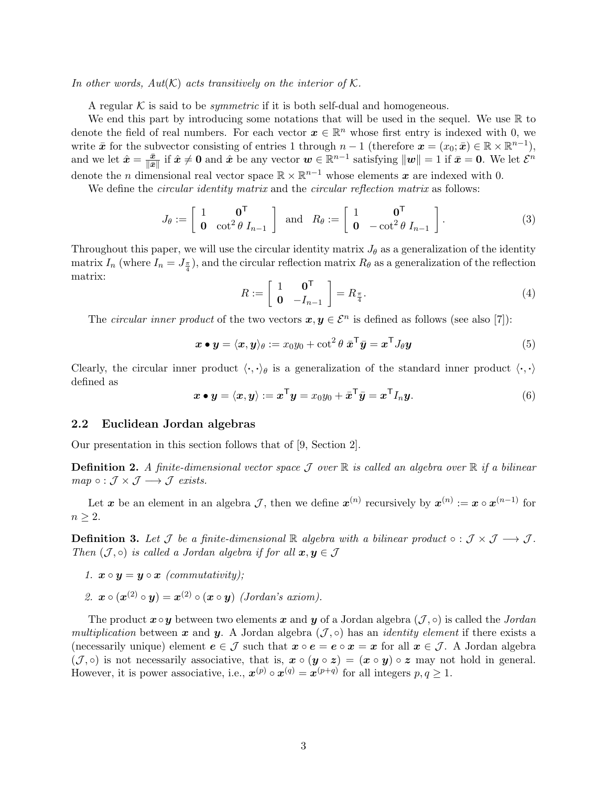In other words,  $Aut(K)$  acts transitively on the interior of K.

A regular K is said to be *symmetric* if it is both self-dual and homogeneous.

We end this part by introducing some notations that will be used in the sequel. We use  $\mathbb R$  to denote the field of real numbers. For each vector  $\boldsymbol{x} \in \mathbb{R}^n$  whose first entry is indexed with 0, we write  $\bar{x}$  for the subvector consisting of entries 1 through  $n-1$  (therefore  $\mathbf{x} = (x_0, \bar{\mathbf{x}}) \in \mathbb{R} \times \mathbb{R}^{n-1}$ ), and we let  $\hat{x} = \frac{\bar{x}}{\|\bar{x}\|}$  $\frac{\bar{x}}{\|\bar{x}\|}$  if  $\hat{x} \neq 0$  and  $\hat{x}$  be any vector  $w \in \mathbb{R}^{n-1}$  satisfying  $||w|| = 1$  if  $\bar{x} = 0$ . We let  $\mathcal{E}^n$ denote the *n* dimensional real vector space  $\mathbb{R} \times \mathbb{R}^{n-1}$  whose elements x are indexed with 0.

We define the *circular identity matrix* and the *circular reflection matrix* as follows:

$$
J_{\theta} := \begin{bmatrix} 1 & \mathbf{0}^{\mathsf{T}} \\ \mathbf{0} & \cot^2 \theta I_{n-1} \end{bmatrix} \text{ and } R_{\theta} := \begin{bmatrix} 1 & \mathbf{0}^{\mathsf{T}} \\ \mathbf{0} & -\cot^2 \theta I_{n-1} \end{bmatrix}.
$$
 (3)

Throughout this paper, we will use the circular identity matrix  $J_{\theta}$  as a generalization of the identity matrix  $I_n$  (where  $I_n = J_{\frac{\pi}{4}}$ ), and the circular reflection matrix  $R_\theta$  as a generalization of the reflection matrix:

$$
R := \left[ \begin{array}{cc} 1 & \mathbf{0}^{\mathsf{T}} \\ \mathbf{0} & -I_{n-1} \end{array} \right] = R_{\frac{\pi}{4}}.\tag{4}
$$

The circular inner product of the two vectors  $x, y \in \mathcal{E}^n$  is defined as follows (see also [7]):

$$
\boldsymbol{x} \bullet \boldsymbol{y} = \langle \boldsymbol{x}, \boldsymbol{y} \rangle_{\theta} := x_0 y_0 + \cot^2 \theta \, \bar{\boldsymbol{x}}^\top \bar{\boldsymbol{y}} = \boldsymbol{x}^\top J_{\theta} \boldsymbol{y} \tag{5}
$$

Clearly, the circular inner product  $\langle \cdot, \cdot \rangle_{\theta}$  is a generalization of the standard inner product  $\langle \cdot, \cdot \rangle$ defined as

$$
\boldsymbol{x} \bullet \boldsymbol{y} = \langle \boldsymbol{x}, \boldsymbol{y} \rangle := \boldsymbol{x}^{\mathsf{T}} \boldsymbol{y} = x_0 y_0 + \bar{\boldsymbol{x}}^{\mathsf{T}} \bar{\boldsymbol{y}} = \boldsymbol{x}^{\mathsf{T}} I_n \boldsymbol{y}.
$$
 (6)

#### 2.2 Euclidean Jordan algebras

Our presentation in this section follows that of [9, Section 2].

**Definition 2.** A finite-dimensional vector space  $\mathcal J$  over  $\mathbb R$  is called an algebra over  $\mathbb R$  if a bilinear  $map \circ : \mathcal{J} \times \mathcal{J} \longrightarrow \mathcal{J}$  exists.

Let x be an element in an algebra  $\mathcal{J}$ , then we define  $\mathbf{x}^{(n)}$  recursively by  $\mathbf{x}^{(n)} := \mathbf{x} \circ \mathbf{x}^{(n-1)}$  for  $n \geq 2$ .

**Definition 3.** Let  $\mathcal{J}$  be a finite-dimensional  $\mathbb{R}$  algebra with a bilinear product  $\circ : \mathcal{J} \times \mathcal{J} \longrightarrow \mathcal{J}$ . Then  $(\mathcal{J}, \circ)$  is called a Jordan algebra if for all  $\mathbf{x}, \mathbf{y} \in \mathcal{J}$ 

- 1.  $\mathbf{x} \circ \mathbf{y} = \mathbf{y} \circ \mathbf{x}$  (commutativity):
- 2.  $\mathbf{x} \circ (\mathbf{x}^{(2)} \circ \mathbf{y}) = \mathbf{x}^{(2)} \circ (\mathbf{x} \circ \mathbf{y})$  (Jordan's axiom).

The product  $\mathbf{x} \circ \mathbf{y}$  between two elements  $\mathbf{x}$  and  $\mathbf{y}$  of a Jordan algebra  $(\mathcal{J}, \circ)$  is called the *Jordan* multiplication between x and y. A Jordan algebra  $(\mathcal{J}, \circ)$  has an *identity element* if there exists a (necessarily unique) element  $e \in \mathcal{J}$  such that  $x \circ e = e \circ x = x$  for all  $x \in \mathcal{J}$ . A Jordan algebra  $(\mathcal{J}, \circ)$  is not necessarily associative, that is,  $\mathbf{x} \circ (\mathbf{y} \circ \mathbf{z}) = (\mathbf{x} \circ \mathbf{y}) \circ \mathbf{z}$  may not hold in general. However, it is power associative, i.e.,  $\mathbf{x}^{(p)} \circ \mathbf{x}^{(q)} = \mathbf{x}^{(p+q)}$  for all integers  $p, q \geq 1$ .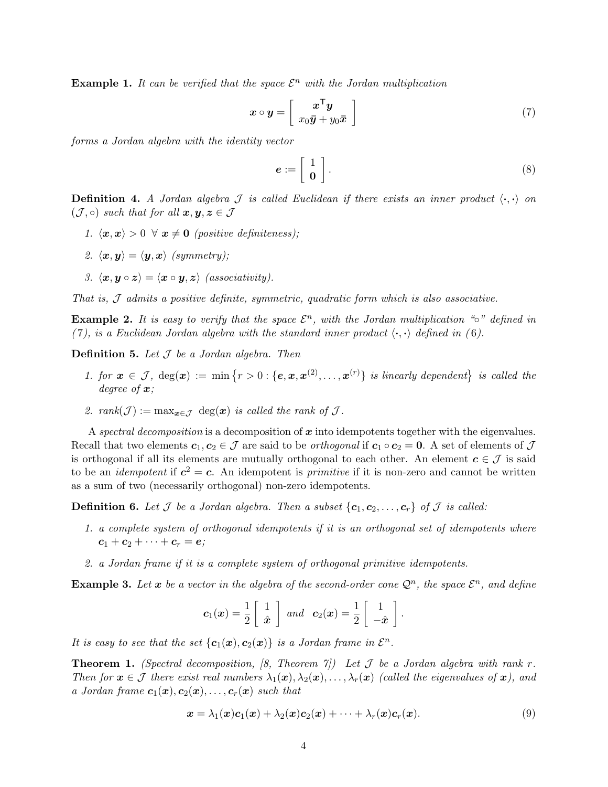**Example 1.** It can be verified that the space  $\mathcal{E}^n$  with the Jordan multiplication

$$
\boldsymbol{x} \circ \boldsymbol{y} = \left[ \begin{array}{c} \boldsymbol{x}^{\mathsf{T}} \boldsymbol{y} \\ x_0 \bar{\boldsymbol{y}} + y_0 \bar{\boldsymbol{x}} \end{array} \right] \tag{7}
$$

forms a Jordan algebra with the identity vector

$$
e := \left[ \begin{array}{c} 1 \\ 0 \end{array} \right]. \tag{8}
$$

**Definition 4.** A Jordan algebra  $\mathcal J$  is called Euclidean if there exists an inner product  $\langle \cdot, \cdot \rangle$  on  $(\mathcal{J}, \circ)$  such that for all  $\mathbf{x}, \mathbf{y}, \mathbf{z} \in \mathcal{J}$ 

- 1.  $\langle x, x \rangle > 0 \ \forall \ x \neq 0$  (positive definiteness);
- 2.  $\langle x, y \rangle = \langle y, x \rangle$  (symmetry);
- 3.  $\langle x, y \circ z \rangle = \langle x \circ y, z \rangle$  (associativity).

That is, J admits a positive definite, symmetric, quadratic form which is also associative.

**Example 2.** It is easy to verify that the space  $\mathcal{E}^n$ , with the Jordan multiplication "∘" defined in (7), is a Euclidean Jordan algebra with the standard inner product  $\langle \cdot, \cdot \rangle$  defined in (6).

**Definition 5.** Let  $J$  be a Jordan algebra. Then

- 1. for  $\mathbf{x} \in \mathcal{J}$ ,  $\deg(\mathbf{x}) := \min \{r > 0 : \{\mathbf{e}, \mathbf{x}, \mathbf{x}^{(2)}, \dots, \mathbf{x}^{(r)}\}$  is linearly dependent is called the degree of  $x$ ;
- 2. rank $(\mathcal{J}) := \max_{\bm{x} \in \mathcal{J}} \deg(\bm{x})$  is called the rank of  $\mathcal{J}$ .

A spectral decomposition is a decomposition of  $x$  into idempotents together with the eigenvalues. Recall that two elements  $c_1, c_2 \in \mathcal{J}$  are said to be *orthogonal* if  $c_1 \circ c_2 = 0$ . A set of elements of  $\mathcal{J}$ is orthogonal if all its elements are mutually orthogonal to each other. An element  $c \in \mathcal{J}$  is said to be an *idempotent* if  $c^2 = c$ . An idempotent is *primitive* if it is non-zero and cannot be written as a sum of two (necessarily orthogonal) non-zero idempotents.

**Definition 6.** Let  $\mathcal J$  be a Jordan algebra. Then a subset  $\{c_1, c_2, \ldots, c_r\}$  of  $\mathcal J$  is called:

- 1. a complete system of orthogonal idempotents if it is an orthogonal set of idempotents where  $c_1 + c_2 + \cdots + c_r = e;$
- 2. a Jordan frame if it is a complete system of orthogonal primitive idempotents.

**Example 3.** Let x be a vector in the algebra of the second-order cone  $\mathcal{Q}^n$ , the space  $\mathcal{E}^n$ , and define

$$
c_1(x) = \frac{1}{2} \begin{bmatrix} 1 \\ \hat{x} \end{bmatrix}
$$
 and  $c_2(x) = \frac{1}{2} \begin{bmatrix} 1 \\ -\hat{x} \end{bmatrix}$ .

It is easy to see that the set  ${c_1(x), c_2(x)}$  is a Jordan frame in  $\mathcal{E}^n$ .

**Theorem 1.** (Spectral decomposition, [8, Theorem  $\gamma$ ]) Let  $\mathcal{J}$  be a Jordan algebra with rank r. Then for  $x \in \mathcal{J}$  there exist real numbers  $\lambda_1(x), \lambda_2(x), \ldots, \lambda_r(x)$  (called the eigenvalues of x), and a Jordan frame  $c_1(x), c_2(x), \ldots, c_r(x)$  such that

$$
\boldsymbol{x} = \lambda_1(\boldsymbol{x})\boldsymbol{c}_1(\boldsymbol{x}) + \lambda_2(\boldsymbol{x})\boldsymbol{c}_2(\boldsymbol{x}) + \cdots + \lambda_r(\boldsymbol{x})\boldsymbol{c}_r(\boldsymbol{x}). \qquad (9)
$$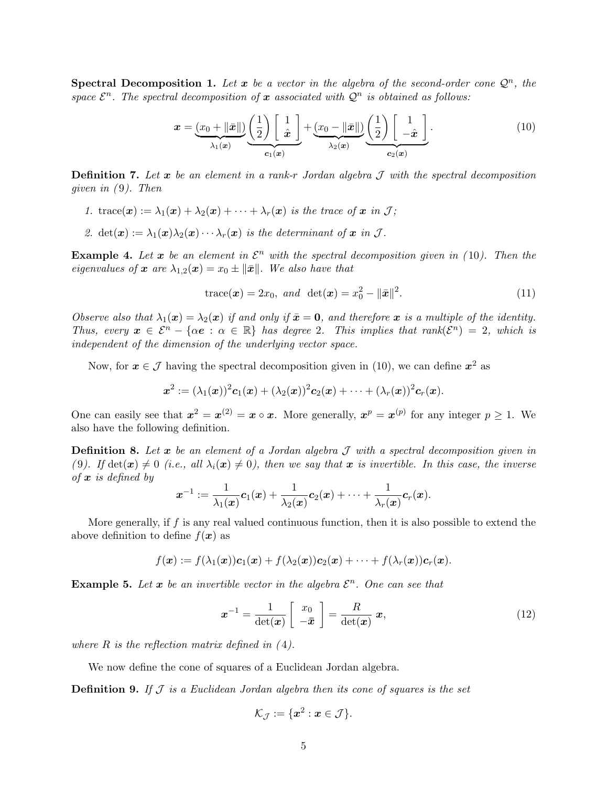**Spectral Decomposition 1.** Let  $x$  be a vector in the algebra of the second-order cone  $\mathcal{Q}^n$ , the space  $\mathcal{E}^n$ . The spectral decomposition of x associated with  $\mathcal{Q}^n$  is obtained as follows:

$$
\boldsymbol{x} = \underbrace{(x_0 + \|\bar{\boldsymbol{x}}\|)}_{\lambda_1(\boldsymbol{x})} \underbrace{\left(\frac{1}{2}\right) \left[\begin{array}{c} 1 \\ \hat{\boldsymbol{x}} \end{array}\right]}_{c_1(\boldsymbol{x})} + \underbrace{(x_0 - \|\bar{\boldsymbol{x}}\|)}_{\lambda_2(\boldsymbol{x})} \underbrace{\left(\frac{1}{2}\right) \left[\begin{array}{c} 1 \\ -\hat{\boldsymbol{x}} \end{array}\right]}_{c_2(\boldsymbol{x})}.
$$
\n(10)

**Definition 7.** Let  $x$  be an element in a rank-r Jordan algebra  $J$  with the spectral decomposition given in  $(9)$ . Then

- 1. trace(x) :=  $\lambda_1(x) + \lambda_2(x) + \cdots + \lambda_r(x)$  is the trace of x in J;
- 2.  $\det(\mathbf{x}) := \lambda_1(\mathbf{x})\lambda_2(\mathbf{x})\cdots\lambda_r(\mathbf{x})$  is the determinant of  $\mathbf{x}$  in  $\mathcal{J}$ .

**Example 4.** Let x be an element in  $\mathcal{E}^n$  with the spectral decomposition given in (10). Then the eigenvalues of x are  $\lambda_{1,2}(x) = x_0 \pm ||\bar{x}||$ . We also have that

trace(**x**) = 2x<sub>0</sub>, and det(**x**) = 
$$
x_0^2 - ||\bar{x}||^2
$$
. (11)

Observe also that  $\lambda_1(x) = \lambda_2(x)$  if and only if  $\bar{x} = 0$ , and therefore x is a multiple of the identity. Thus, every  $x \in \mathcal{E}^n - \{\alpha e : \alpha \in \mathbb{R}\}\$  has degree 2. This implies that rank $(\mathcal{E}^n) = 2$ , which is independent of the dimension of the underlying vector space.

Now, for  $x \in \mathcal{J}$  having the spectral decomposition given in (10), we can define  $x^2$  as

$$
\bm{x}^2:=(\lambda_1(\bm{x}))^2\bm{c}_1(\bm{x})+(\lambda_2(\bm{x}))^2\bm{c}_2(\bm{x})+\cdots+(\lambda_r(\bm{x}))^2\bm{c}_r(\bm{x}).
$$

One can easily see that  $x^2 = x^{(2)} = x \circ x$ . More generally,  $x^p = x^{(p)}$  for any integer  $p \ge 1$ . We also have the following definition.

**Definition 8.** Let x be an element of a Jordan algebra  $\mathcal{J}$  with a spectral decomposition given in (9). If  $\det(\mathbf{x}) \neq 0$  (i.e., all  $\lambda_i(\mathbf{x}) \neq 0$ ), then we say that  $\mathbf{x}$  is invertible. In this case, the inverse of  $x$  is defined by

$$
\boldsymbol{x}^{-1}:=\frac{1}{\lambda_1(\boldsymbol{x})}\boldsymbol{c}_1(\boldsymbol{x})+\frac{1}{\lambda_2(\boldsymbol{x})}\boldsymbol{c}_2(\boldsymbol{x})+\cdots+\frac{1}{\lambda_r(\boldsymbol{x})}\boldsymbol{c}_r(\boldsymbol{x}).
$$

More generally, if  $f$  is any real valued continuous function, then it is also possible to extend the above definition to define  $f(x)$  as

$$
f(\boldsymbol{x}) := f(\lambda_1(\boldsymbol{x}))\boldsymbol{c}_1(\boldsymbol{x}) + f(\lambda_2(\boldsymbol{x}))\boldsymbol{c}_2(\boldsymbol{x}) + \cdots + f(\lambda_r(\boldsymbol{x}))\boldsymbol{c}_r(\boldsymbol{x}).
$$

**Example 5.** Let  $x$  be an invertible vector in the algebra  $\mathcal{E}^n$ . One can see that

$$
\boldsymbol{x}^{-1} = \frac{1}{\det(\boldsymbol{x})} \left[ \begin{array}{c} x_0 \\ -\bar{\boldsymbol{x}} \end{array} \right] = \frac{R}{\det(\boldsymbol{x})} \boldsymbol{x},\tag{12}
$$

where  $R$  is the reflection matrix defined in  $(4)$ .

We now define the cone of squares of a Euclidean Jordan algebra.

**Definition 9.** If  $\mathcal J$  is a Euclidean Jordan algebra then its cone of squares is the set

$$
\mathcal{K}_{\mathcal{J}}:=\{\boldsymbol{x}^2: \boldsymbol{x} \in \mathcal{J}\}.
$$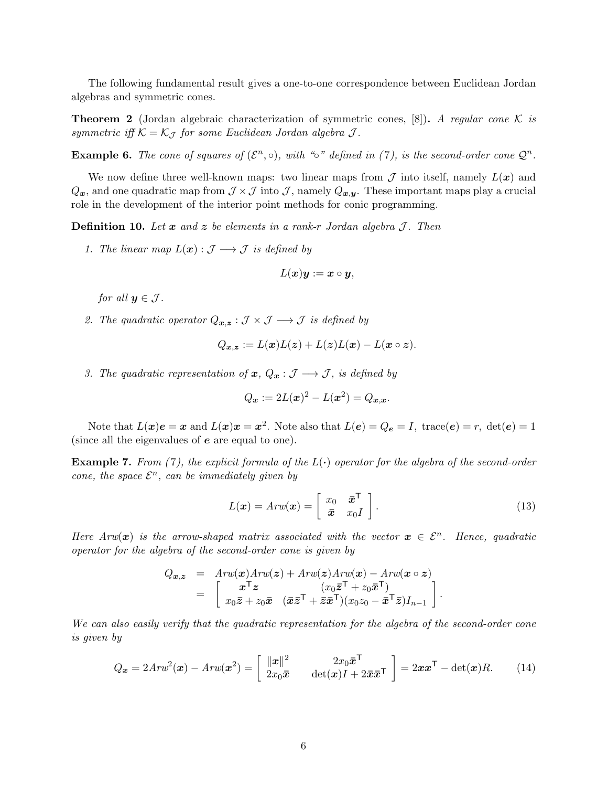The following fundamental result gives a one-to-one correspondence between Euclidean Jordan algebras and symmetric cones.

**Theorem 2** (Jordan algebraic characterization of symmetric cones, [8]). A regular cone K is symmetric iff  $\mathcal{K} = \mathcal{K}_{\mathcal{J}}$  for some Euclidean Jordan algebra  $\mathcal{J}$ .

**Example 6.** The cone of squares of  $(\mathcal{E}^n, \circ)$ , with "∘" defined in (7), is the second-order cone  $\mathcal{Q}^n$ .

We now define three well-known maps: two linear maps from  $\mathcal J$  into itself, namely  $L(\mathbf x)$  and  $Q_x$ , and one quadratic map from  $\mathcal{J} \times \mathcal{J}$  into  $\mathcal{J}$ , namely  $Q_{x,y}$ . These important maps play a crucial role in the development of the interior point methods for conic programming.

**Definition 10.** Let x and z be elements in a rank-r Jordan algebra  $\mathcal{J}$ . Then

1. The linear map  $L(\boldsymbol{x}) : \mathcal{J} \longrightarrow \mathcal{J}$  is defined by

$$
L(\boldsymbol{x})\boldsymbol{y}:=\boldsymbol{x}\circ\boldsymbol{y},
$$

for all  $\mathbf{u} \in \mathcal{J}$ .

2. The quadratic operator  $Q_{\bm{x},\bm{z}} : \mathcal{J} \times \mathcal{J} \longrightarrow \mathcal{J}$  is defined by

$$
Q_{\boldsymbol{x},\boldsymbol{z}} := L(\boldsymbol{x})L(\boldsymbol{z}) + L(\boldsymbol{z})L(\boldsymbol{x}) - L(\boldsymbol{x} \circ \boldsymbol{z}).
$$

3. The quadratic representation of  $x, Q_x : \mathcal{J} \longrightarrow \mathcal{J}$ , is defined by

$$
Q_x := 2L(x)^2 - L(x^2) = Q_{x,x}.
$$

Note that  $L(x)e = x$  and  $L(x)x = x^2$ . Note also that  $L(e) = Q_e = I$ , trace $(e) = r$ ,  $det(e) = 1$ (since all the eigenvalues of e are equal to one).

**Example 7.** From (7), the explicit formula of the  $L(\cdot)$  operator for the algebra of the second-order cone, the space  $\mathcal{E}^n$ , can be immediately given by

$$
L(\boldsymbol{x}) = Arw(\boldsymbol{x}) = \begin{bmatrix} x_0 & \bar{\boldsymbol{x}}^{\mathsf{T}} \\ \bar{\boldsymbol{x}} & x_0 I \end{bmatrix}.
$$
 (13)

.

Here  $Arw(x)$  is the arrow-shaped matrix associated with the vector  $x \in \mathcal{E}^n$ . Hence, quadratic operator for the algebra of the second-order cone is given by

$$
Q_{\boldsymbol{x},\boldsymbol{z}} = \begin{bmatrix} Arw(\boldsymbol{x})Arw(\boldsymbol{z}) + Arw(\boldsymbol{z})Arw(\boldsymbol{x}) - Arw(\boldsymbol{x} \circ \boldsymbol{z}) \\ x^{\mathsf{T}} \boldsymbol{z} & (x_0 \bar{\boldsymbol{z}}^{\mathsf{T}} + z_0 \bar{\boldsymbol{x}}^{\mathsf{T}}) \\ x_0 \bar{\boldsymbol{z}} + z_0 \bar{\boldsymbol{x}} & (\bar{\boldsymbol{x}} \bar{\boldsymbol{z}}^{\mathsf{T}} + \bar{\boldsymbol{z}} \bar{\boldsymbol{x}}^{\mathsf{T}})(x_0 z_0 - \bar{\boldsymbol{x}}^{\mathsf{T}} \bar{\boldsymbol{z}})I_{n-1} \end{bmatrix}
$$

We can also easily verify that the quadratic representation for the algebra of the second-order cone is given by

$$
Q_{\boldsymbol{x}} = 2Arw^{2}(\boldsymbol{x}) - Arw(\boldsymbol{x}^{2}) = \begin{bmatrix} \|\boldsymbol{x}\|^{2} & 2x_{0}\bar{\boldsymbol{x}}^{\mathsf{T}} \\ 2x_{0}\bar{\boldsymbol{x}} & \det(\boldsymbol{x})I + 2\bar{\boldsymbol{x}}\bar{\boldsymbol{x}}^{\mathsf{T}} \end{bmatrix} = 2\boldsymbol{x}\boldsymbol{x}^{\mathsf{T}} - \det(\boldsymbol{x})R. \tag{14}
$$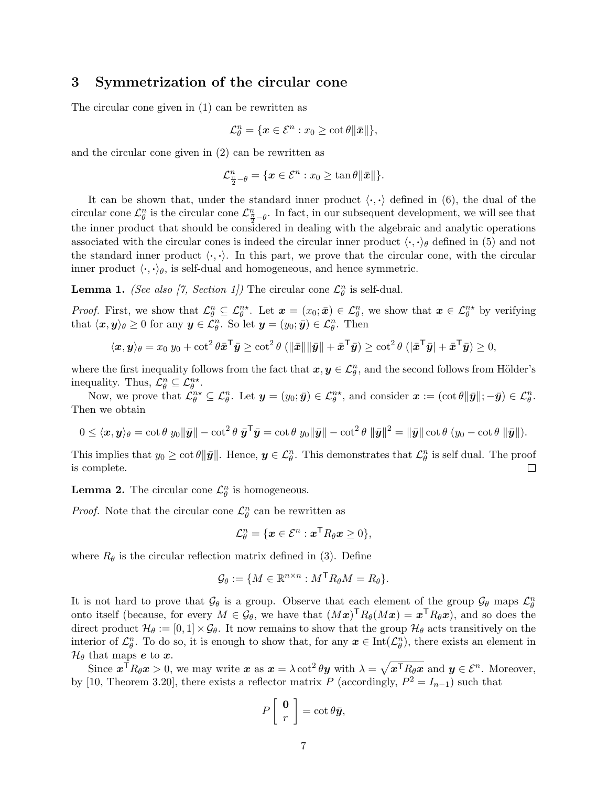## 3 Symmetrization of the circular cone

The circular cone given in (1) can be rewritten as

$$
\mathcal{L}_{\theta}^{n} = \{ \boldsymbol{x} \in \mathcal{E}^{n} : x_{0} \geq \cot \theta \|\bar{\boldsymbol{x}}\| \},\
$$

and the circular cone given in (2) can be rewritten as

$$
\mathcal{L}_{\frac{\pi}{2}-\theta}^{n}=\{\boldsymbol{x}\in\mathcal{E}^{n}:x_{0}\geq\tan\theta\|\bar{\boldsymbol{x}}\|\}.
$$

It can be shown that, under the standard inner product  $\langle \cdot, \cdot \rangle$  defined in (6), the dual of the circular cone  $\mathcal{L}_{\theta}^n$  is the circular cone  $\mathcal{L}_{\frac{\pi}{2}-\theta}^n$ . In fact, in our subsequent development, we will see that the inner product that should be considered in dealing with the algebraic and analytic operations associated with the circular cones is indeed the circular inner product  $\langle \cdot, \cdot \rangle_{\theta}$  defined in (5) and not the standard inner product  $\langle \cdot, \cdot \rangle$ . In this part, we prove that the circular cone, with the circular inner product  $\langle \cdot, \cdot \rangle_{\theta}$ , is self-dual and homogeneous, and hence symmetric.

**Lemma 1.** (See also [7, Section 1]) The circular cone  $\mathcal{L}_{\theta}^{n}$  is self-dual.

*Proof.* First, we show that  $\mathcal{L}_{\theta}^{n} \subseteq \mathcal{L}_{\theta}^{n*}$ . Let  $\mathbf{x} = (x_0, \bar{\mathbf{x}}) \in \mathcal{L}_{\theta}^{n}$ , we show that  $\mathbf{x} \in \mathcal{L}_{\theta}^{n*}$  by verifying that  $\langle x, y \rangle_{\theta} \geq 0$  for any  $y \in \mathcal{L}_{\theta}^n$ . So let  $y = (y_0; \bar{y}) \in \mathcal{L}_{\theta}^n$ . Then

$$
\langle \mathbf{x}, \mathbf{y} \rangle_{\theta} = x_0 \ y_0 + \cot^2 \theta \bar{\mathbf{x}}^{\mathsf{T}} \bar{\mathbf{y}} \ge \cot^2 \theta \left( \|\bar{\mathbf{x}}\| \|\bar{\mathbf{y}}\| + \bar{\mathbf{x}}^{\mathsf{T}} \bar{\mathbf{y}} \right) \ge \cot^2 \theta \left( \|\bar{\mathbf{x}}^{\mathsf{T}} \bar{\mathbf{y}}\| + \bar{\mathbf{x}}^{\mathsf{T}} \bar{\mathbf{y}} \right) \ge 0,
$$

where the first inequality follows from the fact that  $x, y \in \mathcal{L}_{\theta}^n$ , and the second follows from Hölder's inequality. Thus,  $\mathcal{L}_{\theta}^{n} \subseteq \mathcal{L}_{\theta}^{n*}$ .

Now, we prove that  $\mathcal{L}_{\theta}^{n*} \subseteq \mathcal{L}_{\theta}^n$ . Let  $\mathbf{y} = (y_0; \bar{\mathbf{y}}) \in \mathcal{L}_{\theta}^{n*}$ , and consider  $\mathbf{x} := (\cot \theta \|\bar{\mathbf{y}}\|; -\bar{\mathbf{y}}) \in \mathcal{L}_{\theta}^n$ . Then we obtain

$$
0 \leq \langle \boldsymbol{x}, \boldsymbol{y} \rangle_{\theta} = \cot \theta \; y_0 \|\bar{\boldsymbol{y}}\| - \cot^2 \theta \; \bar{\boldsymbol{y}}^{\mathsf{T}} \bar{\boldsymbol{y}} = \cot \theta \; y_0 \|\bar{\boldsymbol{y}}\| - \cot^2 \theta \; \|\bar{\boldsymbol{y}}\|^2 = \|\bar{\boldsymbol{y}}\| \cot \theta \; (y_0 - \cot \theta \; \|\bar{\boldsymbol{y}}\|).
$$

This implies that  $y_0 \ge \cot \theta \|\bar{\mathbf{y}}\|$ . Hence,  $\mathbf{y} \in \mathcal{L}_{\theta}^n$ . This demonstrates that  $\mathcal{L}_{\theta}^n$  is self dual. The proof is complete. П

**Lemma 2.** The circular cone  $\mathcal{L}_{\theta}^{n}$  is homogeneous.

*Proof.* Note that the circular cone  $\mathcal{L}_{\theta}^{n}$  can be rewritten as

$$
\mathcal{L}_{\theta}^{n} = \{ \boldsymbol{x} \in \mathcal{E}^{n} : \boldsymbol{x}^{\mathsf{T}} R_{\theta} \boldsymbol{x} \geq 0 \},
$$

where  $R_{\theta}$  is the circular reflection matrix defined in (3). Define

$$
\mathcal{G}_{\theta} := \{ M \in \mathbb{R}^{n \times n} : M^{\mathsf{T}} R_{\theta} M = R_{\theta} \}.
$$

It is not hard to prove that  $\mathcal{G}_{\theta}$  is a group. Observe that each element of the group  $\mathcal{G}_{\theta}$  maps  $\mathcal{L}_{\theta}^{n}$ onto itself (because, for every  $M \in \mathcal{G}_{\theta}$ , we have that  $(Mx)^{\mathsf{T}}R_{\theta}(Mx) = x^{\mathsf{T}}R_{\theta}x$ ), and so does the direct product  $\mathcal{H}_{\theta} := [0, 1] \times \mathcal{G}_{\theta}$ . It now remains to show that the group  $\mathcal{H}_{\theta}$  acts transitively on the interior of  $\mathcal{L}_{\theta}^n$ . To do so, it is enough to show that, for any  $\mathbf{x} \in \text{Int}(\mathcal{L}_{\theta}^n)$ , there exists an element in  $\mathcal{H}_{\theta}$  that maps e to x.

Since  $\boldsymbol{x}^{\mathsf{T}} R_{\theta} \boldsymbol{x} > 0$ , we may write  $\boldsymbol{x}$  as  $\boldsymbol{x} = \lambda \cot^2 \theta \boldsymbol{y}$  with  $\lambda = \sqrt{\boldsymbol{x}^{\mathsf{T}} R_{\theta} \boldsymbol{x}}$  and  $\boldsymbol{y} \in \mathcal{E}^n$ . Moreover, by [10, Theorem 3.20], there exists a reflector matrix P (accordingly,  $P^2 = I_{n-1}$ ) such that

$$
P\left[\begin{array}{c}\mathbf{0}\\r\end{array}\right]=\cot\theta\bar{\mathbf{y}},
$$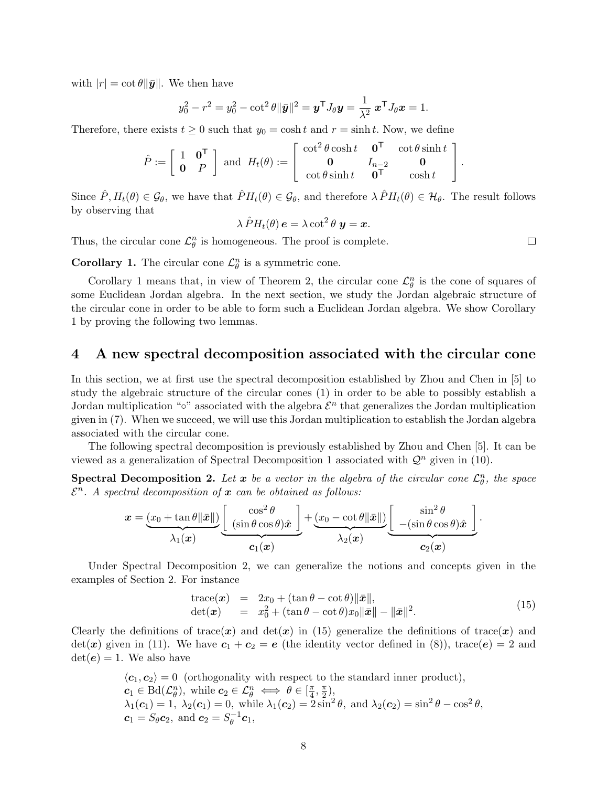with  $|r| = \cot \theta \|\bar{y}\|$ . We then have

$$
y_0^2 - r^2 = y_0^2 - \cot^2 \theta \|\bar{\mathbf{y}}\|^2 = \mathbf{y}^\mathsf{T} J_\theta \mathbf{y} = \frac{1}{\lambda^2} \mathbf{x}^\mathsf{T} J_\theta \mathbf{x} = 1.
$$

Therefore, there exists  $t \geq 0$  such that  $y_0 = \cosh t$  and  $r = \sinh t$ . Now, we define

$$
\hat{P} := \left[ \begin{array}{cc} 1 & \mathbf{0}^{\mathsf{T}} \\ \mathbf{0} & P \end{array} \right] \text{ and } H_t(\theta) := \left[ \begin{array}{cc} \cot^2 \theta \cosh t & \mathbf{0}^{\mathsf{T}} & \cot \theta \sinh t \\ \mathbf{0} & I_{n-2} & \mathbf{0} \\ \cot \theta \sinh t & \mathbf{0}^{\mathsf{T}} & \cosh t \end{array} \right].
$$

Since  $\hat{P}, H_t(\theta) \in \mathcal{G}_{\theta}$ , we have that  $\hat{P}H_t(\theta) \in \mathcal{G}_{\theta}$ , and therefore  $\lambda \hat{P}H_t(\theta) \in \mathcal{H}_{\theta}$ . The result follows by observing that

$$
\lambda \hat{P} H_t(\theta) \, \mathbf{e} = \lambda \cot^2 \theta \, \mathbf{y} = \mathbf{x}.
$$

Thus, the circular cone  $\mathcal{L}_{\theta}^{n}$  is homogeneous. The proof is complete.

**Corollary 1.** The circular cone  $\mathcal{L}_{\theta}^{n}$  is a symmetric cone.

Corollary 1 means that, in view of Theorem 2, the circular cone  $\mathcal{L}_{\theta}^{n}$  is the cone of squares of some Euclidean Jordan algebra. In the next section, we study the Jordan algebraic structure of the circular cone in order to be able to form such a Euclidean Jordan algebra. We show Corollary 1 by proving the following two lemmas.

### 4 A new spectral decomposition associated with the circular cone

In this section, we at first use the spectral decomposition established by Zhou and Chen in [5] to study the algebraic structure of the circular cones (1) in order to be able to possibly establish a Jordan multiplication "∘" associated with the algebra  $\mathcal{E}^n$  that generalizes the Jordan multiplication given in (7). When we succeed, we will use this Jordan multiplication to establish the Jordan algebra associated with the circular cone.

The following spectral decomposition is previously established by Zhou and Chen [5]. It can be viewed as a generalization of Spectral Decomposition 1 associated with  $\mathcal{Q}^n$  given in (10).

**Spectral Decomposition 2.** Let  $x$  be a vector in the algebra of the circular cone  $\mathcal{L}_{\theta}^{n}$ , the space  $\mathcal{E}^n$ . A spectral decomposition of x can be obtained as follows:

$$
\boldsymbol{x} = \underbrace{(x_0+\tan\theta\|\bar{\boldsymbol{x}}\|)}_{\lambda_1(\boldsymbol{x})} \underbrace{\begin{bmatrix} \cos^2\theta \\ (\sin\theta\cos\theta)\hat{\boldsymbol{x}} \end{bmatrix}}_{\boldsymbol{c}_1(\boldsymbol{x})} + \underbrace{(x_0-\cot\theta\|\bar{\boldsymbol{x}}\|)}_{\lambda_2(\boldsymbol{x})} \underbrace{\begin{bmatrix} \sin^2\theta \\ -(\sin\theta\cos\theta)\hat{\boldsymbol{x}} \end{bmatrix}}_{\boldsymbol{c}_2(\boldsymbol{x})}.
$$

Under Spectral Decomposition 2, we can generalize the notions and concepts given in the examples of Section 2. For instance

$$
\begin{array}{rcl}\n\text{trace}(\boldsymbol{x}) & = & 2x_0 + (\tan \theta - \cot \theta) \|\bar{\boldsymbol{x}}\|, \\
\text{det}(\boldsymbol{x}) & = & x_0^2 + (\tan \theta - \cot \theta)x_0 \|\bar{\boldsymbol{x}}\| - \|\bar{\boldsymbol{x}}\|^2.\n\end{array} \tag{15}
$$

Clearly the definitions of trace(x) and  $\det(x)$  in (15) generalize the definitions of trace(x) and  $\det(\mathbf{x})$  given in (11). We have  $\mathbf{c}_1 + \mathbf{c}_2 = \mathbf{e}$  (the identity vector defined in (8)), trace( $\mathbf{e}$ ) = 2 and  $\det(e) = 1$ . We also have

$$
\langle c_1, c_2 \rangle = 0
$$
 (orthogonality with respect to the standard inner product),  
\n $c_1 \in \text{Bd}(\mathcal{L}_{\theta}^n)$ , while  $c_2 \in \mathcal{L}_{\theta}^n \iff \theta \in [\frac{\pi}{4}, \frac{\pi}{2})$ ,  
\n $\lambda_1(c_1) = 1$ ,  $\lambda_2(c_1) = 0$ , while  $\lambda_1(c_2) = 2\sin^2 \theta$ , and  $\lambda_2(c_2) = \sin^2 \theta - \cos^2 \theta$ ,  
\n $c_1 = S_{\theta}c_2$ , and  $c_2 = S_{\theta}^{-1}c_1$ ,

 $\Box$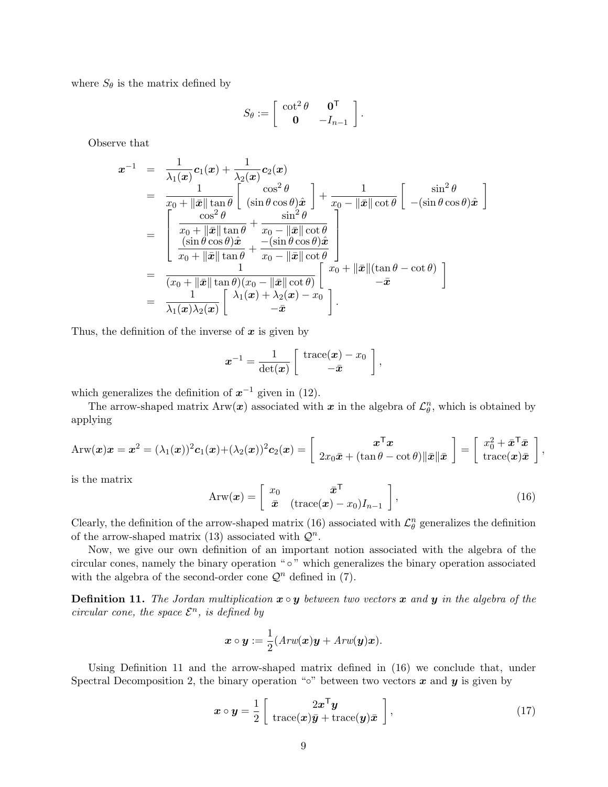where  $S_{\theta}$  is the matrix defined by

$$
S_{\theta} := \left[ \begin{array}{cc} \cot^2 \theta & \mathbf{0}^{\mathsf{T}} \\ \mathbf{0} & -I_{n-1} \end{array} \right].
$$

Observe that

$$
\mathbf{x}^{-1} = \frac{1}{\lambda_1(\mathbf{x})} \mathbf{c}_1(\mathbf{x}) + \frac{1}{\lambda_2(\mathbf{x})} \mathbf{c}_2(\mathbf{x}) \n= \frac{1}{x_0 + \|\bar{\mathbf{x}}\| \tan \theta} \begin{bmatrix} \cos^2 \theta \\ (\sin \theta \cos \theta) \hat{\mathbf{x}} \end{bmatrix} + \frac{1}{x_0 - \|\bar{\mathbf{x}}\| \cot \theta} \begin{bmatrix} \sin^2 \theta \\ -(\sin \theta \cos \theta) \hat{\mathbf{x}} \end{bmatrix} \n= \begin{bmatrix} \frac{\cos^2 \theta}{x_0 + \|\bar{\mathbf{x}}\| \tan \theta} + \frac{\sin^2 \theta}{x_0 - \|\bar{\mathbf{x}}\| \cot \theta} \\ \frac{(\sin \theta \cos \theta) \hat{\mathbf{x}}}{x_0 + \|\bar{\mathbf{x}}\| \tan \theta} + \frac{-(\sin \theta \cos \theta) \hat{\mathbf{x}}}{x_0 - \|\bar{\mathbf{x}}\| \cot \theta} \end{bmatrix} \n= \frac{1}{(x_0 + \|\bar{\mathbf{x}}\| \tan \theta)(x_0 - \|\bar{\mathbf{x}}\| \cot \theta)} \begin{bmatrix} x_0 + \|\bar{\mathbf{x}}\| (\tan \theta - \cot \theta) \\ -\bar{\mathbf{x}} \end{bmatrix} \n= \frac{1}{\lambda_1(\mathbf{x})\lambda_2(\mathbf{x})} \begin{bmatrix} \lambda_1(\mathbf{x}) + \lambda_2(\mathbf{x}) - x_0 \\ -\bar{\mathbf{x}} \end{bmatrix}.
$$

Thus, the definition of the inverse of  $x$  is given by

$$
\boldsymbol{x}^{-1} = \frac{1}{\det(\boldsymbol{x})} \left[ \begin{array}{c} \text{trace}(\boldsymbol{x}) - x_0 \\ -\bar{\boldsymbol{x}} \end{array} \right],
$$

which generalizes the definition of  $x^{-1}$  given in (12).

The arrow-shaped matrix  $\text{Arw}(\bm{x})$  associated with  $\bm{x}$  in the algebra of  $\mathcal{L}_{\theta}^{n}$ , which is obtained by applying

$$
\text{Arw}(\boldsymbol{x})\boldsymbol{x} = \boldsymbol{x}^2 = (\lambda_1(\boldsymbol{x}))^2 \boldsymbol{c}_1(\boldsymbol{x}) + (\lambda_2(\boldsymbol{x}))^2 \boldsymbol{c}_2(\boldsymbol{x}) = \begin{bmatrix} \boldsymbol{x}^T \boldsymbol{x} \\ 2x_0 \bar{\boldsymbol{x}} + (\tan \theta - \cot \theta) \|\bar{\boldsymbol{x}}\| \bar{\boldsymbol{x}} \end{bmatrix} = \begin{bmatrix} x_0^2 + \bar{\boldsymbol{x}}^T \bar{\boldsymbol{x}} \\ \text{trace}(\boldsymbol{x}) \bar{\boldsymbol{x}} \end{bmatrix},
$$

is the matrix

$$
Arw(\boldsymbol{x}) = \begin{bmatrix} x_0 & \bar{\boldsymbol{x}}^{\mathsf{T}} \\ \bar{\boldsymbol{x}} & (\text{trace}(\boldsymbol{x}) - x_0)I_{n-1} \end{bmatrix},
$$
(16)

Clearly, the definition of the arrow-shaped matrix (16) associated with  $\mathcal{L}_{\theta}^{n}$  generalizes the definition of the arrow-shaped matrix (13) associated with  $\mathcal{Q}^n$ .

Now, we give our own definition of an important notion associated with the algebra of the circular cones, namely the binary operation " ◦ " which generalizes the binary operation associated with the algebra of the second-order cone  $\mathcal{Q}^n$  defined in (7).

**Definition 11.** The Jordan multiplication  $x \circ y$  between two vectors x and y in the algebra of the circular cone, the space  $\mathcal{E}^n$ , is defined by

$$
\boldsymbol{x}\circ\boldsymbol{y}:=\frac{1}{2}(Arw(\boldsymbol{x})\boldsymbol{y}+Arw(\boldsymbol{y})\boldsymbol{x}).
$$

Using Definition 11 and the arrow-shaped matrix defined in (16) we conclude that, under Spectral Decomposition 2, the binary operation "◦" between two vectors  $x$  and  $y$  is given by

$$
\boldsymbol{x} \circ \boldsymbol{y} = \frac{1}{2} \left[ \begin{array}{c} 2\boldsymbol{x}^{\mathsf{T}}\boldsymbol{y} \\ \text{trace}(\boldsymbol{x})\bar{\boldsymbol{y}} + \text{trace}(\boldsymbol{y})\bar{\boldsymbol{x}} \end{array} \right], \tag{17}
$$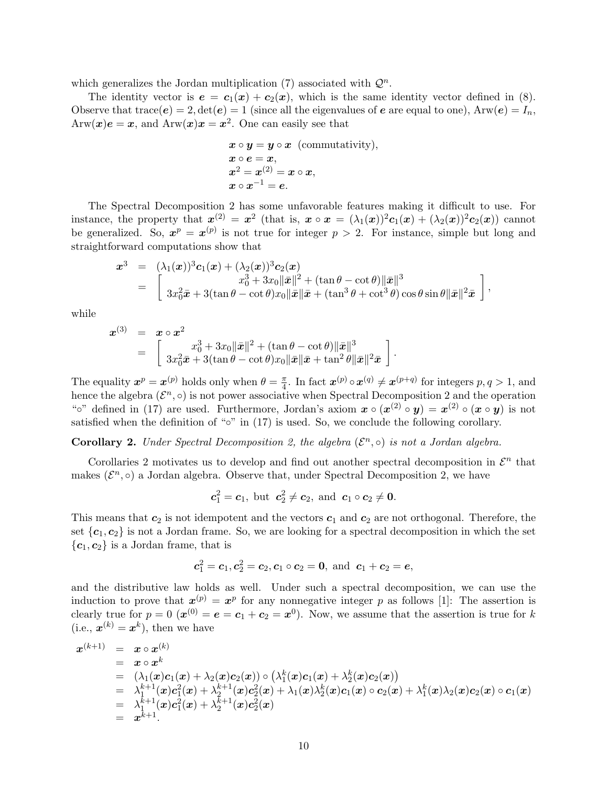which generalizes the Jordan multiplication (7) associated with  $\mathcal{Q}^n$ .

The identity vector is  $e = c_1(x) + c_2(x)$ , which is the same identity vector defined in (8). Observe that trace( $e$ ) = 2,  $det(e)$  = 1 (since all the eigenvalues of  $e$  are equal to one),  $Arw(e) = I_n$ ,  $\text{Arw}(\boldsymbol{x})\boldsymbol{e} = \boldsymbol{x}, \text{ and } \text{Arw}(\boldsymbol{x})\boldsymbol{x} = \boldsymbol{x}^2.$  One can easily see that

$$
x \circ y = y \circ x \text{ (commutativity)},
$$
  
\n
$$
x \circ e = x,
$$
  
\n
$$
x^2 = x^{(2)} = x \circ x,
$$
  
\n
$$
x \circ x^{-1} = e.
$$

The Spectral Decomposition 2 has some unfavorable features making it difficult to use. For instance, the property that  $x^{(2)} = x^2$  (that is,  $x \circ x = (\lambda_1(x))^2 c_1(x) + (\lambda_2(x))^2 c_2(x)$ ) cannot be generalized. So,  $x^p = x^{(p)}$  is not true for integer  $p > 2$ . For instance, simple but long and straightforward computations show that

$$
\mathbf{x}^3 = (\lambda_1(\mathbf{x}))^3 \mathbf{c}_1(\mathbf{x}) + (\lambda_2(\mathbf{x}))^3 \mathbf{c}_2(\mathbf{x})
$$
  
= 
$$
\begin{bmatrix} x_0^3 + 3x_0 \|\bar{\mathbf{x}}\|^2 + (\tan \theta - \cot \theta) \|\bar{\mathbf{x}}\|^3 \\ 3x_0^2 \bar{\mathbf{x}} + 3(\tan \theta - \cot \theta) x_0 \|\bar{\mathbf{x}}\| \bar{\mathbf{x}} + (\tan^3 \theta + \cot^3 \theta) \cos \theta \sin \theta \|\bar{\mathbf{x}}\|^2 \bar{\mathbf{x}} \end{bmatrix},
$$

while

$$
\begin{array}{rcl} \boldsymbol{x}^{(3)} & = & \boldsymbol{x}\circ\boldsymbol{x}^2 \\ & = & \left[ \begin{array}{c} x_0^3 + 3x_0\|\bar{\boldsymbol{x}}\|^2 + (\tan\theta - \cot\theta)\|\bar{\boldsymbol{x}}\|^3 \\ 3x_0^2\bar{\boldsymbol{x}} + 3(\tan\theta - \cot\theta)x_0\|\bar{\boldsymbol{x}}\|\bar{\boldsymbol{x}} + \tan^2\theta\|\bar{\boldsymbol{x}}\|^2\bar{\boldsymbol{x}} \end{array} \right]. \end{array}
$$

The equality  $x^p = x^{(p)}$  holds only when  $\theta = \frac{\pi}{4}$  $\frac{\pi}{4}$ . In fact  $\mathbf{x}^{(p)} \circ \mathbf{x}^{(q)} \neq \mathbf{x}^{(p+q)}$  for integers  $p, q > 1$ , and hence the algebra  $(\mathcal{E}^n, \circ)$  is not power associative when Spectral Decomposition 2 and the operation "<sup>o</sup>" defined in (17) are used. Furthermore, Jordan's axiom  $\mathbf{x} \circ (\mathbf{x}^{(2)} \circ \mathbf{y}) = \mathbf{x}^{(2)} \circ (\mathbf{x} \circ \mathbf{y})$  is not satisfied when the definition of "∘" in  $(17)$  is used. So, we conclude the following corollary.

**Corollary 2.** Under Spectral Decomposition 2, the algebra  $(\mathcal{E}^n, \circ)$  is not a Jordan algebra.

Corollaries 2 motivates us to develop and find out another spectral decomposition in  $\mathcal{E}^n$  that makes  $(\mathcal{E}^n, \circ)$  a Jordan algebra. Observe that, under Spectral Decomposition 2, we have

$$
c_1^2 = c_1
$$
, but  $c_2^2 \neq c_2$ , and  $c_1 \circ c_2 \neq 0$ .

This means that  $c_2$  is not idempotent and the vectors  $c_1$  and  $c_2$  are not orthogonal. Therefore, the set  ${c_1, c_2}$  is not a Jordan frame. So, we are looking for a spectral decomposition in which the set  ${c_1, c_2}$  is a Jordan frame, that is

$$
c_1^2 = c_1, c_2^2 = c_2, c_1 \circ c_2 = 0
$$
, and  $c_1 + c_2 = e$ ,

and the distributive law holds as well. Under such a spectral decomposition, we can use the induction to prove that  $x^{(p)} = x^p$  for any nonnegative integer p as follows [1]: The assertion is clearly true for  $p = 0$   $(\mathbf{x}^{(0)} = \mathbf{e} = \mathbf{c}_1 + \mathbf{c}_2 = \mathbf{x}^0)$ . Now, we assume that the assertion is true for k (i.e.,  $\boldsymbol{x}^{(k)} = \boldsymbol{x}^{k}$ ), then we have

$$
\begin{array}{rcl} \boldsymbol{x}^{(k+1)} & = & \boldsymbol{x}\circ \boldsymbol{x}^{(k)}\\ & = & \boldsymbol{x}\circ \boldsymbol{x}^{k}\\ & = & (\lambda_{1}(\boldsymbol{x})\boldsymbol{c}_{1}(\boldsymbol{x}) + \lambda_{2}(\boldsymbol{x})\boldsymbol{c}_{2}(\boldsymbol{x}))\circ \left(\lambda_{1}^{k}(\boldsymbol{x})\boldsymbol{c}_{1}(\boldsymbol{x}) + \lambda_{2}^{k}(\boldsymbol{x})\boldsymbol{c}_{2}(\boldsymbol{x})\right) \\ & = & \lambda_{1}^{k+1}(\boldsymbol{x})\boldsymbol{c}_{1}^{2}(\boldsymbol{x}) + \lambda_{2}^{k+1}(\boldsymbol{x})\boldsymbol{c}_{2}^{2}(\boldsymbol{x}) + \lambda_{1}(\boldsymbol{x})\lambda_{2}^{k}(\boldsymbol{x})\boldsymbol{c}_{1}(\boldsymbol{x})\circ \boldsymbol{c}_{2}(\boldsymbol{x}) + \lambda_{1}^{k}(\boldsymbol{x})\lambda_{2}(\boldsymbol{x})\boldsymbol{c}_{2}(\boldsymbol{x})\circ \boldsymbol{c}_{1}(\boldsymbol{x}) \\ & = & \lambda_{1}^{k+1}(\boldsymbol{x})\boldsymbol{c}_{1}^{2}(\boldsymbol{x}) + \lambda_{2}^{k+1}(\boldsymbol{x})\boldsymbol{c}_{2}^{2}(\boldsymbol{x}) \\ & = & \boldsymbol{x}^{k+1}.\end{array}
$$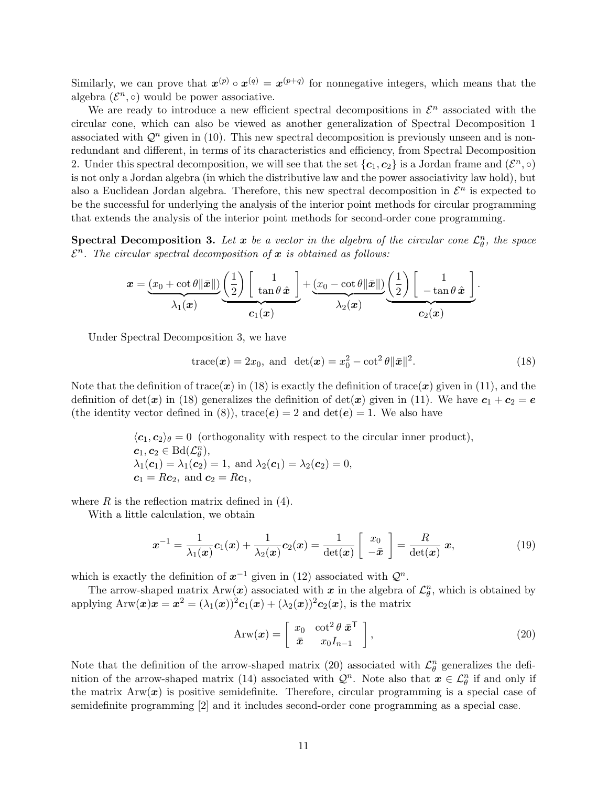Similarly, we can prove that  $x^{(p)} \circ x^{(q)} = x^{(p+q)}$  for nonnegative integers, which means that the algebra  $(\mathcal{E}^n, \circ)$  would be power associative.

We are ready to introduce a new efficient spectral decompositions in  $\mathcal{E}^n$  associated with the circular cone, which can also be viewed as another generalization of Spectral Decomposition 1 associated with  $\mathcal{Q}^n$  given in (10). This new spectral decomposition is previously unseen and is nonredundant and different, in terms of its characteristics and efficiency, from Spectral Decomposition 2. Under this spectral decomposition, we will see that the set  $\{c_1, c_2\}$  is a Jordan frame and  $(\mathcal{E}^n, \circ)$ is not only a Jordan algebra (in which the distributive law and the power associativity law hold), but also a Euclidean Jordan algebra. Therefore, this new spectral decomposition in  $\mathcal{E}^n$  is expected to be the successful for underlying the analysis of the interior point methods for circular programming that extends the analysis of the interior point methods for second-order cone programming.

**Spectral Decomposition 3.** Let  $x$  be a vector in the algebra of the circular cone  $\mathcal{L}_{\theta}^n$ , the space  $\mathcal{E}^n$ . The circular spectral decomposition of x is obtained as follows:

$$
\boldsymbol{x} = \underbrace{(x_0 + \cot \theta \|\bar{\boldsymbol{x}}\|)}_{\lambda_1(\boldsymbol{x})} \underbrace{\left(\frac{1}{2}\right)\left[\begin{array}{c}1 \\ \tan \theta \ \hat{\boldsymbol{x}}\end{array}\right]}_{\boldsymbol{c}_1(\boldsymbol{x})} + \underbrace{(x_0 - \cot \theta \|\bar{\boldsymbol{x}}\|)}_{\lambda_2(\boldsymbol{x})} \underbrace{\left(\frac{1}{2}\right)\left[\begin{array}{c}1 \\ -\tan \theta \ \hat{\boldsymbol{x}}\end{array}\right]}_{\boldsymbol{c}_2(\boldsymbol{x})}.
$$

Under Spectral Decomposition 3, we have

$$
\text{trace}(\boldsymbol{x}) = 2x_0, \text{ and } \det(\boldsymbol{x}) = x_0^2 - \cot^2 \theta \|\bar{\boldsymbol{x}}\|^2. \tag{18}
$$

Note that the definition of trace(x) in (18) is exactly the definition of trace(x) given in (11), and the definition of det(x) in (18) generalizes the definition of det(x) given in (11). We have  $c_1 + c_2 = e$ (the identity vector defined in (8)), trace( $e$ ) = 2 and det( $e$ ) = 1. We also have

> $\langle c_1, c_2 \rangle_\theta = 0$  (orthogonality with respect to the circular inner product),  $c_1, c_2 \in \text{Bd}(\mathcal{L}_{\theta}^n),$  $\lambda_1(\mathbf{c}_1) = \lambda_1(\mathbf{c}_2) = 1$ , and  $\lambda_2(\mathbf{c}_1) = \lambda_2(\mathbf{c}_2) = 0$ ,  $c_1 = Rc_2$ , and  $c_2 = Rc_1$ ,

where  $R$  is the reflection matrix defined in  $(4)$ .

With a little calculation, we obtain

$$
\boldsymbol{x}^{-1} = \frac{1}{\lambda_1(\boldsymbol{x})} \boldsymbol{c}_1(\boldsymbol{x}) + \frac{1}{\lambda_2(\boldsymbol{x})} \boldsymbol{c}_2(\boldsymbol{x}) = \frac{1}{\det(\boldsymbol{x})} \begin{bmatrix} x_0 \\ -\bar{\boldsymbol{x}} \end{bmatrix} = \frac{R}{\det(\boldsymbol{x})} \boldsymbol{x}, \tag{19}
$$

which is exactly the definition of  $x^{-1}$  given in (12) associated with  $\mathcal{Q}^n$ .

The arrow-shaped matrix  $\text{Arw}(\bm{x})$  associated with  $\bm{x}$  in the algebra of  $\mathcal{L}_{\theta}^{n}$ , which is obtained by applying  $\text{Arw}(\boldsymbol{x})\boldsymbol{x} = \boldsymbol{x}^2 = (\lambda_1(\boldsymbol{x}))^2 \boldsymbol{c}_1(\boldsymbol{x}) + (\lambda_2(\boldsymbol{x}))^2 \boldsymbol{c}_2(\boldsymbol{x}),$  is the matrix

$$
Arw(\boldsymbol{x}) = \begin{bmatrix} x_0 & \cot^2 \theta \ \bar{x}^T \\ \bar{x} & x_0 I_{n-1} \end{bmatrix},\tag{20}
$$

Note that the definition of the arrow-shaped matrix (20) associated with  $\mathcal{L}_{\theta}^{n}$  generalizes the definition of the arrow-shaped matrix (14) associated with  $\mathcal{Q}^n$ . Note also that  $\mathbf{x} \in \mathcal{L}_{\theta}^n$  if and only if the matrix  $Arw(x)$  is positive semidefinite. Therefore, circular programming is a special case of semidefinite programming [2] and it includes second-order cone programming as a special case.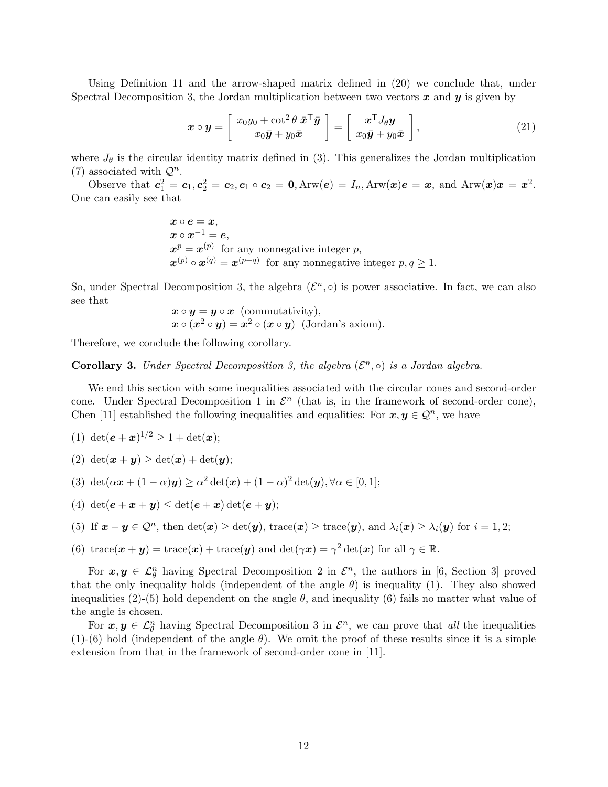Using Definition 11 and the arrow-shaped matrix defined in (20) we conclude that, under Spectral Decomposition 3, the Jordan multiplication between two vectors  $x$  and  $y$  is given by

$$
\boldsymbol{x} \circ \boldsymbol{y} = \left[ \begin{array}{c} x_0 y_0 + \cot^2 \theta \, \bar{\boldsymbol{x}}^\mathsf{T} \bar{\boldsymbol{y}} \\ x_0 \bar{\boldsymbol{y}} + y_0 \bar{\boldsymbol{x}} \end{array} \right] = \left[ \begin{array}{c} \boldsymbol{x}^\mathsf{T} J_\theta \boldsymbol{y} \\ x_0 \bar{\boldsymbol{y}} + y_0 \bar{\boldsymbol{x}} \end{array} \right],\tag{21}
$$

where  $J_{\theta}$  is the circular identity matrix defined in (3). This generalizes the Jordan multiplication (7) associated with  $\mathcal{Q}^n$ .

Observe that  $c_1^2 = c_1, c_2^2 = c_2, c_1 \circ c_2 = 0, \text{Arw}(e) = I_n, \text{Arw}(x)e = x$ , and  $\text{Arw}(x)x = x^2$ . One can easily see that

> $x \circ e = x$ ,  $\boldsymbol{x}\circ\boldsymbol{x}^{-1}=\boldsymbol{e},$  $x^p = x^{(p)}$  for any nonnegative integer p,  $\mathbf{x}^{(p)} \circ \mathbf{x}^{(q)} = \mathbf{x}^{(p+q)}$  for any nonnegative integer  $p, q \geq 1$ .

So, under Spectral Decomposition 3, the algebra  $(\mathcal{E}^n, \circ)$  is power associative. In fact, we can also see that

$$
x \circ y = y \circ x \text{ (commutativity)},
$$
  

$$
x \circ (x^2 \circ y) = x^2 \circ (x \circ y) \text{ (Jordan's axiom)}.
$$

Therefore, we conclude the following corollary.

**Corollary 3.** Under Spectral Decomposition 3, the algebra  $(\mathcal{E}^n, \circ)$  is a Jordan algebra.

We end this section with some inequalities associated with the circular cones and second-order cone. Under Spectral Decomposition 1 in  $\mathcal{E}^n$  (that is, in the framework of second-order cone), Chen [11] established the following inequalities and equalities: For  $x, y \in \mathcal{Q}^n$ , we have

- (1) det $(e+x)^{1/2} \geq 1 + \det(x);$
- (2)  $\det(\mathbf{x} + \mathbf{y}) > \det(\mathbf{x}) + \det(\mathbf{y});$
- (3) det $(\alpha x + (1 \alpha)y) \ge \alpha^2 \det(x) + (1 \alpha)^2 \det(y), \forall \alpha \in [0, 1];$
- (4)  $\det(e + x + y) \leq \det(e + x) \det(e + y)$ ;
- (5) If  $\mathbf{x} \mathbf{y} \in \mathcal{Q}^n$ , then  $\det(\mathbf{x}) \ge \det(\mathbf{y})$ ,  $\text{trace}(\mathbf{x}) \ge \text{trace}(\mathbf{y})$ , and  $\lambda_i(\mathbf{x}) \ge \lambda_i(\mathbf{y})$  for  $i = 1, 2$ ;
- (6) trace $(\boldsymbol{x} + \boldsymbol{y}) = \text{trace}(\boldsymbol{x}) + \text{trace}(\boldsymbol{y})$  and  $\det(\gamma \boldsymbol{x}) = \gamma^2 \det(\boldsymbol{x})$  for all  $\gamma \in \mathbb{R}$ .

For  $x, y \in \mathcal{L}_{\theta}^n$  having Spectral Decomposition 2 in  $\mathcal{E}^n$ , the authors in [6, Section 3] proved that the only inequality holds (independent of the angle  $\theta$ ) is inequality (1). They also showed inequalities  $(2)-(5)$  hold dependent on the angle  $\theta$ , and inequality (6) fails no matter what value of the angle is chosen.

For  $x, y \in \mathcal{L}_{\theta}^n$  having Spectral Decomposition 3 in  $\mathcal{E}^n$ , we can prove that all the inequalities (1)-(6) hold (independent of the angle  $\theta$ ). We omit the proof of these results since it is a simple extension from that in the framework of second-order cone in [11].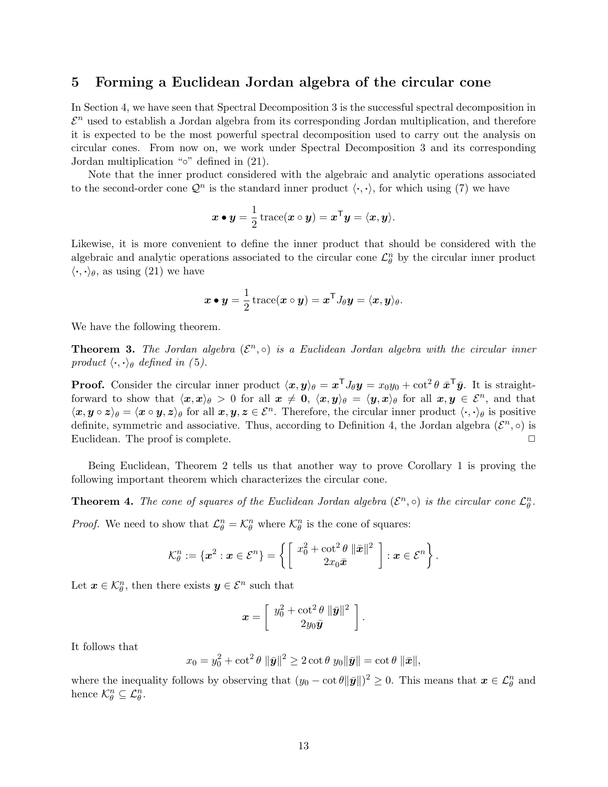### 5 Forming a Euclidean Jordan algebra of the circular cone

In Section 4, we have seen that Spectral Decomposition 3 is the successful spectral decomposition in  $\mathcal{E}^n$  used to establish a Jordan algebra from its corresponding Jordan multiplication, and therefore it is expected to be the most powerful spectral decomposition used to carry out the analysis on circular cones. From now on, we work under Spectral Decomposition 3 and its corresponding Jordan multiplication "◦" defined in (21).

Note that the inner product considered with the algebraic and analytic operations associated to the second-order cone  $\mathcal{Q}^n$  is the standard inner product  $\langle \cdot, \cdot \rangle$ , for which using (7) we have

$$
\boldsymbol{x} \bullet \boldsymbol{y} = \frac{1}{2} \operatorname{trace}(\boldsymbol{x} \circ \boldsymbol{y}) = \boldsymbol{x}^{\mathsf{T}} \boldsymbol{y} = \langle \boldsymbol{x}, \boldsymbol{y} \rangle.
$$

Likewise, it is more convenient to define the inner product that should be considered with the algebraic and analytic operations associated to the circular cone  $\mathcal{L}_{\theta}^{n}$  by the circular inner product  $\langle \cdot, \cdot \rangle_{\theta}$ , as using (21) we have

$$
\boldsymbol{x} \bullet \boldsymbol{y} = \frac{1}{2} \operatorname{trace}(\boldsymbol{x} \circ \boldsymbol{y}) = \boldsymbol{x}^{\mathsf{T}} J_{\theta} \boldsymbol{y} = \langle \boldsymbol{x}, \boldsymbol{y} \rangle_{\theta}.
$$

We have the following theorem.

**Theorem 3.** The Jordan algebra  $(\mathcal{E}^n, \circ)$  is a Euclidean Jordan algebra with the circular inner product  $\langle \cdot, \cdot \rangle_{\theta}$  defined in (5).

**Proof.** Consider the circular inner product  $\langle x, y \rangle_{\theta} = x^{\mathsf{T}} J_{\theta} y = x_0 y_0 + \cot^2 \theta \bar{x}^{\mathsf{T}} \bar{y}$ . It is straightforward to show that  $\langle x, x \rangle_{\theta} > 0$  for all  $x \neq 0$ ,  $\langle x, y \rangle_{\theta} = \langle y, x \rangle_{\theta}$  for all  $x, y \in \mathcal{E}^{n}$ , and that  $\langle x, y \circ z \rangle_\theta = \langle x \circ y, z \rangle_\theta$  for all  $x, y, z \in \mathcal{E}^n$ . Therefore, the circular inner product  $\langle \cdot, \cdot \rangle_\theta$  is positive definite, symmetric and associative. Thus, according to Definition 4, the Jordan algebra  $(\mathcal{E}^n, \circ)$  is Euclidean. The proof is complete. ◯

Being Euclidean, Theorem 2 tells us that another way to prove Corollary 1 is proving the following important theorem which characterizes the circular cone.

**Theorem 4.** The cone of squares of the Euclidean Jordan algebra  $(\mathcal{E}^n, \circ)$  is the circular cone  $\mathcal{L}_{\theta}^n$ .

*Proof.* We need to show that  $\mathcal{L}_{\theta}^n = \mathcal{K}_{\theta}^n$  where  $\mathcal{K}_{\theta}^n$  is the cone of squares:

$$
\mathcal{K}_{\theta}^{n}:=\{\boldsymbol{x}^{2}:\boldsymbol{x}\in\mathcal{E}^{n}\}=\left\{\left[\begin{array}{c}x_{0}^{2}+\cot^{2}\theta\,\left\|\bar{\boldsymbol{x}}\right\|^{2}\\2x_{0}\bar{\boldsymbol{x}}\end{array}\right]:\boldsymbol{x}\in\mathcal{E}^{n}\right\}.
$$

Let  $\boldsymbol{x} \in \mathcal{K}_{\theta}^n$ , then there exists  $\boldsymbol{y} \in \mathcal{E}^n$  such that

$$
\boldsymbol{x} = \left[ \begin{array}{c} y_0^2 + \cot^2 \theta & \|\bar{\boldsymbol{y}}\|^2 \\ 2y_0\bar{\boldsymbol{y}} \end{array} \right].
$$

It follows that

$$
x_0 = y_0^2 + \cot^2 \theta \, \|\bar{\mathbf{y}}\|^2 \ge 2 \cot \theta \, y_0 \|\bar{\mathbf{y}}\| = \cot \theta \, \|\bar{\mathbf{x}}\|,
$$

where the inequality follows by observing that  $(y_0 - \cot \theta ||\bar{y}||)^2 \geq 0$ . This means that  $x \in \mathcal{L}_{\theta}^n$  and hence  $\mathcal{K}_{\theta}^{n} \subseteq \mathcal{L}_{\theta}^{n}$ .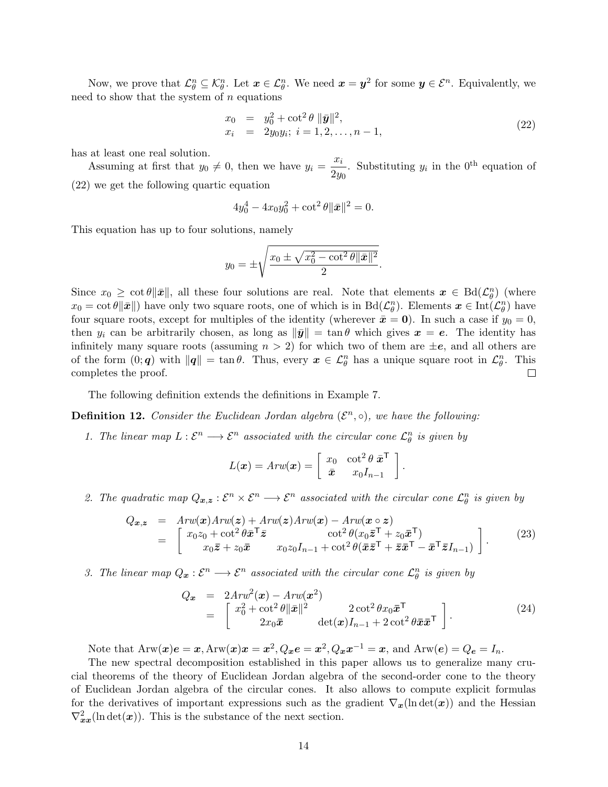Now, we prove that  $\mathcal{L}_{\theta}^{n} \subseteq \mathcal{K}_{\theta}^{n}$ . Let  $\boldsymbol{x} \in \mathcal{L}_{\theta}^{n}$ . We need  $\boldsymbol{x} = \boldsymbol{y}^{2}$  for some  $\boldsymbol{y} \in \mathcal{E}^{n}$ . Equivalently, we need to show that the system of  $n$  equations

$$
x_0 = y_0^2 + \cot^2 \theta \, \|\bar{\mathbf{y}}\|^2, x_i = 2y_0 y_i; \ i = 1, 2, \dots, n-1,
$$
\n(22)

has at least one real solution.

Assuming at first that  $y_0 \neq 0$ , then we have  $y_i = \frac{x_i}{2}$  $\frac{x_i}{2y_0}$ . Substituting  $y_i$  in the 0<sup>th</sup> equation of (22) we get the following quartic equation

$$
4y_0^4 - 4x_0y_0^2 + \cot^2\theta \|\bar{x}\|^2 = 0.
$$

This equation has up to four solutions, namely

$$
y_0 = \pm \sqrt{\frac{x_0 \pm \sqrt{x_0^2 - \cot^2 \theta \|\bar{\mathbf{x}}\|^2}}{2}}.
$$

Since  $x_0 \geq \cot \theta \|\bar{x}\|$ , all these four solutions are real. Note that elements  $\bar{x} \in \text{Bd}(\mathcal{L}_{\theta}^n)$  (where  $x_0 = \cot \theta \|\bar{x}\|$ ) have only two square roots, one of which is in  $\text{Bd}(\mathcal{L}_{\theta}^n)$ . Elements  $\bm{x} \in \text{Int}(\mathcal{L}_{\theta}^n)$  have four square roots, except for multiples of the identity (wherever  $\bar{x} = 0$ ). In such a case if  $y_0 = 0$ , then  $y_i$  can be arbitrarily chosen, as long as  $\|\bar{y}\| = \tan \theta$  which gives  $x = e$ . The identity has infinitely many square roots (assuming  $n > 2$ ) for which two of them are  $\pm e$ , and all others are of the form  $(0; q)$  with  $||q|| = \tan \theta$ . Thus, every  $x \in \mathcal{L}_{\theta}^{n}$  has a unique square root in  $\mathcal{L}_{\theta}^{n}$ . This completes the proof.  $\Box$ 

The following definition extends the definitions in Example 7.

**Definition 12.** Consider the Euclidean Jordan algebra  $(\mathcal{E}^n, \circ)$ , we have the following:

1. The linear map  $L: \mathcal{E}^n \longrightarrow \mathcal{E}^n$  associated with the circular cone  $\mathcal{L}_{\theta}^n$  is given by

$$
L(\boldsymbol{x}) = Arw(\boldsymbol{x}) = \begin{bmatrix} x_0 & \cot^2 \theta \ \bar{\boldsymbol{x}}^{\mathsf{T}} \\ \bar{\boldsymbol{x}} & x_0 I_{n-1} \end{bmatrix}.
$$

2. The quadratic map  $Q_{x,z} : \mathcal{E}^n \times \mathcal{E}^n \longrightarrow \mathcal{E}^n$  associated with the circular cone  $\mathcal{L}_{\theta}^n$  is given by

$$
Q_{\boldsymbol{x},\boldsymbol{z}} = Arw(\boldsymbol{x})Arw(\boldsymbol{z}) + Arw(\boldsymbol{z})Arw(\boldsymbol{x}) - Arw(\boldsymbol{x} \circ \boldsymbol{z})
$$
  
= 
$$
\begin{bmatrix} x_0z_0 + \cot^2\theta \bar{\boldsymbol{x}}^\top \bar{\boldsymbol{z}} & \cot^2\theta (x_0\bar{\boldsymbol{z}}^\top + z_0\bar{\boldsymbol{x}}^\top) \\ x_0\bar{\boldsymbol{z}} + z_0\bar{\boldsymbol{x}} & x_0z_0I_{n-1} + \cot^2\theta (\bar{\boldsymbol{x}}\bar{\boldsymbol{z}}^\top + \bar{\boldsymbol{z}}\bar{\boldsymbol{x}}^\top - \bar{\boldsymbol{x}}^\top \bar{\boldsymbol{z}}I_{n-1}) \end{bmatrix}.
$$
 (23)

3. The linear map  $Q_x : \mathcal{E}^n \longrightarrow \mathcal{E}^n$  associated with the circular cone  $\mathcal{L}_{\theta}^n$  is given by

$$
Q_{\boldsymbol{x}} = 2Arw^{2}(\boldsymbol{x}) - Arw(\boldsymbol{x}^{2})
$$
  
= 
$$
\begin{bmatrix} x_{0}^{2} + \cot^{2}\theta ||\bar{\boldsymbol{x}}||^{2} & 2\cot^{2}\theta x_{0}\bar{\boldsymbol{x}}^{\mathsf{T}} \\ 2x_{0}\bar{\boldsymbol{x}} & \det(\boldsymbol{x})I_{n-1} + 2\cot^{2}\theta\bar{\boldsymbol{x}}\bar{\boldsymbol{x}}^{\mathsf{T}} \end{bmatrix}.
$$
 (24)

Note that  $\text{Arw}(\boldsymbol{x})\boldsymbol{e} = \boldsymbol{x}, \text{Arw}(\boldsymbol{x})\boldsymbol{x} = \boldsymbol{x}^2, Q_{\boldsymbol{x}}\boldsymbol{e} = \boldsymbol{x}^2, Q_{\boldsymbol{x}}\boldsymbol{x}^{-1} = \boldsymbol{x}, \text{ and } \text{Arw}(\boldsymbol{e}) = Q_{\boldsymbol{e}} = I_n.$ 

The new spectral decomposition established in this paper allows us to generalize many crucial theorems of the theory of Euclidean Jordan algebra of the second-order cone to the theory of Euclidean Jordan algebra of the circular cones. It also allows to compute explicit formulas for the derivatives of important expressions such as the gradient  $\nabla_{x}(\ln \det(x))$  and the Hessian  $\nabla^2_{xx}(\ln \det(x))$ . This is the substance of the next section.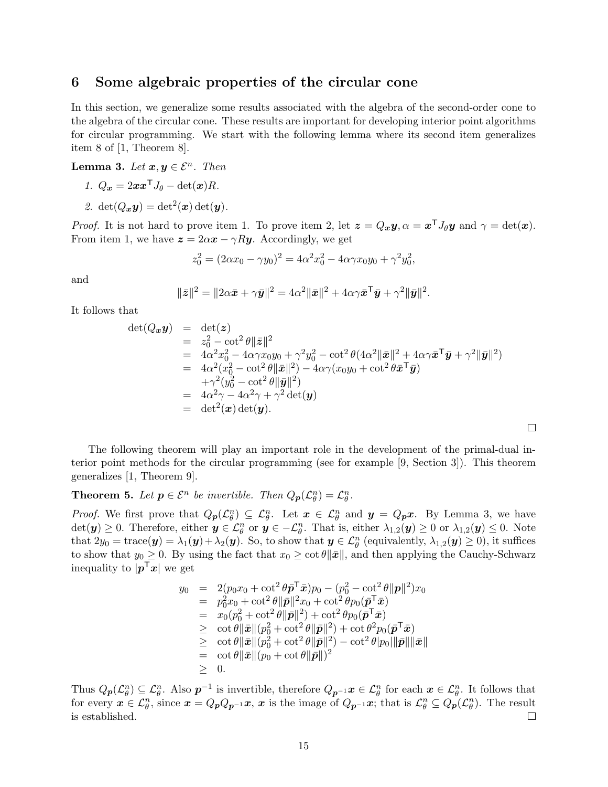### 6 Some algebraic properties of the circular cone

In this section, we generalize some results associated with the algebra of the second-order cone to the algebra of the circular cone. These results are important for developing interior point algorithms for circular programming. We start with the following lemma where its second item generalizes item 8 of [1, Theorem 8].

Lemma 3. Let  $x, y \in \mathcal{E}^n$ . Then

$$
1. \ Q_x = 2xx^{\mathsf{T}}J_{\theta} - \det(x)R.
$$

2.  $\det(Q_{\boldsymbol{x}}\boldsymbol{y}) = \det^2(\boldsymbol{x}) \det(\boldsymbol{y}).$ 

*Proof.* It is not hard to prove item 1. To prove item 2, let  $\mathbf{z} = Q_x \mathbf{y}, \alpha = x^{\mathsf{T}} J_{\theta} \mathbf{y}$  and  $\gamma = \det(\mathbf{x})$ . From item 1, we have  $z = 2\alpha x - \gamma Ry$ . Accordingly, we get

$$
z_0^2 = (2\alpha x_0 - \gamma y_0)^2 = 4\alpha^2 x_0^2 - 4\alpha \gamma x_0 y_0 + \gamma^2 y_0^2,
$$

and

$$
\|\bar{\mathbf{z}}\|^2 = \|2\alpha\bar{\mathbf{x}} + \gamma\bar{\mathbf{y}}\|^2 = 4\alpha^2 \|\bar{\mathbf{x}}\|^2 + 4\alpha\gamma\bar{\mathbf{x}}^\mathsf{T}\bar{\mathbf{y}} + \gamma^2 \|\bar{\mathbf{y}}\|^2.
$$

It follows that

$$
\det(Q_{\boldsymbol{x}}\boldsymbol{y}) = \det(\boldsymbol{z})
$$
  
\n
$$
= z_0^2 - \cot^2 \theta \|\bar{\boldsymbol{z}}\|^2
$$
  
\n
$$
= 4\alpha^2 x_0^2 - 4\alpha \gamma x_0 y_0 + \gamma^2 y_0^2 - \cot^2 \theta (4\alpha^2 \|\bar{\boldsymbol{x}}\|^2 + 4\alpha \gamma \bar{\boldsymbol{x}}^\top \bar{\boldsymbol{y}} + \gamma^2 \|\bar{\boldsymbol{y}}\|^2)
$$
  
\n
$$
= 4\alpha^2 (x_0^2 - \cot^2 \theta \|\bar{\boldsymbol{y}}\|^2) - 4\alpha \gamma (x_0 y_0 + \cot^2 \theta \bar{\boldsymbol{x}}^\top \bar{\boldsymbol{y}})
$$
  
\n
$$
+ \gamma^2 (y_0^2 - \cot^2 \theta \|\bar{\boldsymbol{y}}\|^2)
$$
  
\n
$$
= 4\alpha^2 \gamma - 4\alpha^2 \gamma + \gamma^2 \det(\boldsymbol{y})
$$
  
\n
$$
= \det^2(\boldsymbol{x}) \det(\boldsymbol{y}).
$$

 $\Box$ 

The following theorem will play an important role in the development of the primal-dual interior point methods for the circular programming (see for example [9, Section 3]). This theorem generalizes [1, Theorem 9].

**Theorem 5.** Let  $p \in \mathcal{E}^n$  be invertible. Then  $Q_p(\mathcal{L}_{\theta}^n) = \mathcal{L}_{\theta}^n$ .

*Proof.* We first prove that  $Q_p(\mathcal{L}_{\theta}^n) \subseteq \mathcal{L}_{\theta}^n$ . Let  $\mathbf{x} \in \mathcal{L}_{\theta}^n$  and  $\mathbf{y} = Q_p \mathbf{x}$ . By Lemma 3, we have  $\det(\bm{y}) \geq 0$ . Therefore, either  $\bm{y} \in \mathcal{L}_{\theta}^n$  or  $\bm{y} \in -\mathcal{L}_{\theta}^n$ . That is, either  $\lambda_{1,2}(\bm{y}) \geq 0$  or  $\lambda_{1,2}(\bm{y}) \leq 0$ . Note that  $2y_0 = \text{trace}(\mathbf{y}) = \lambda_1(\mathbf{y}) + \lambda_2(\mathbf{y})$ . So, to show that  $\mathbf{y} \in \mathcal{L}_{\theta}^n$  (equivalently,  $\lambda_{1,2}(\mathbf{y}) \ge 0$ ), it suffices to show that  $y_0 \geq 0$ . By using the fact that  $x_0 \geq \cot \theta ||\bar{x}||$ , and then applying the Cauchy-Schwarz inequality to  $|p^{\mathsf{T}}x|$  we get

$$
y_0 = 2(p_0x_0 + \cot^2 \theta \bar{\mathbf{p}}^T \bar{\mathbf{x}}) p_0 - (p_0^2 - \cot^2 \theta ||\mathbf{p}||^2) x_0
$$
  
\n
$$
= p_0^2x_0 + \cot^2 \theta ||\bar{\mathbf{p}}||^2 x_0 + \cot^2 \theta p_0 (\bar{\mathbf{p}}^T \bar{\mathbf{x}})
$$
  
\n
$$
= x_0(p_0^2 + \cot^2 \theta ||\bar{\mathbf{p}}||^2) + \cot^2 \theta p_0 (\bar{\mathbf{p}}^T \bar{\mathbf{x}})
$$
  
\n
$$
\geq \cot \theta ||\bar{\mathbf{x}}|| (p_0^2 + \cot^2 \theta ||\bar{\mathbf{p}}||^2) + \cot \theta^2 p_0 (\bar{\mathbf{p}}^T \bar{\mathbf{x}})
$$
  
\n
$$
\geq \cot \theta ||\bar{\mathbf{x}}|| (p_0^2 + \cot^2 \theta ||\bar{\mathbf{p}}||^2) - \cot^2 \theta |p_0||\bar{\mathbf{p}}||\bar{\mathbf{x}}||
$$
  
\n
$$
= \cot \theta ||\bar{\mathbf{x}}|| (p_0 + \cot \theta ||\bar{\mathbf{p}}||)^2
$$
  
\n
$$
\geq 0.
$$

Thus  $Q_p(\mathcal{L}_{\theta}^n) \subseteq \mathcal{L}_{\theta}^n$ . Also  $p^{-1}$  is invertible, therefore  $Q_{p^{-1}}x \in \mathcal{L}_{\theta}^n$  for each  $x \in \mathcal{L}_{\theta}^n$ . It follows that for every  $x \in \mathcal{L}_{\theta}^n$ , since  $x = Q_p Q_{p^{-1}} x$ , x is the image of  $Q_{p^{-1}} x$ ; that is  $\mathcal{L}_{\theta}^n \subseteq Q_p(\mathcal{L}_{\theta}^n)$ . The result is established.  $\Box$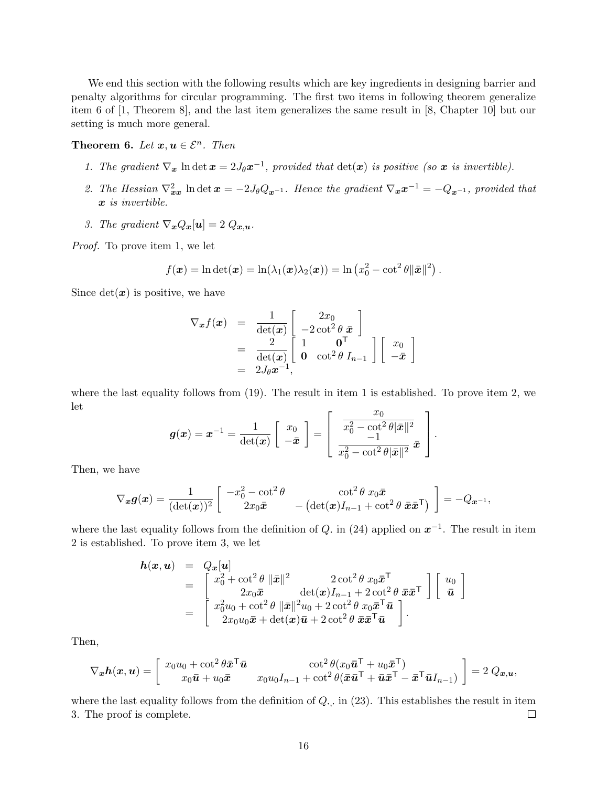We end this section with the following results which are key ingredients in designing barrier and penalty algorithms for circular programming. The first two items in following theorem generalize item 6 of [1, Theorem 8], and the last item generalizes the same result in [8, Chapter 10] but our setting is much more general.

**Theorem 6.** Let  $x, u \in \mathcal{E}^n$ . Then

- 1. The gradient  $\nabla_x \ln \det x = 2J_\theta x^{-1}$ , provided that  $\det(x)$  is positive (so x is invertible).
- 2. The Hessian  $\nabla_{xx}^2$  ln det  $x = -2J_\theta Q_{x^{-1}}$ . Hence the gradient  $\nabla_x x^{-1} = -Q_{x^{-1}}$ , provided that x is invertible.
- 3. The gradient  $\nabla_{\boldsymbol{x}} Q_{\boldsymbol{x}}[\boldsymbol{u}] = 2 Q_{\boldsymbol{x}, \boldsymbol{u}}$ .

Proof. To prove item 1, we let

$$
f(\boldsymbol{x}) = \ln \det(\boldsymbol{x}) = \ln(\lambda_1(\boldsymbol{x})\lambda_2(\boldsymbol{x})) = \ln (x_0^2 - \cot^2 \theta ||\bar{\boldsymbol{x}}||^2).
$$

Since  $det(x)$  is positive, we have

$$
\nabla_{\boldsymbol{x}} f(\boldsymbol{x}) = \frac{1}{\det(\boldsymbol{x})} \begin{bmatrix} 2x_0 \\ -2 \cot^2 \theta \ \bar{\boldsymbol{x}} \end{bmatrix}
$$
  
=  $\frac{2}{\det(\boldsymbol{x})} \begin{bmatrix} 1 & \mathbf{0}^{\mathsf{T}} \\ \mathbf{0} & \cot^2 \theta \ I_{n-1} \end{bmatrix} \begin{bmatrix} x_0 \\ -\bar{x} \end{bmatrix}$   
=  $2J_{\theta} \boldsymbol{x}^{-1}$ ,

where the last equality follows from (19). The result in item 1 is established. To prove item 2, we let  $x_0$  $\overline{\phantom{a}}$ 

$$
\boldsymbol{g}(\boldsymbol{x}) = \boldsymbol{x}^{-1} = \frac{1}{\det(\boldsymbol{x})} \left[ \begin{array}{c} x_0 \\ -\bar{\boldsymbol{x}} \end{array} \right] = \left[ \begin{array}{c} \frac{x_0}{x_0^2 - \cot^2 \theta |\bar{\boldsymbol{x}}||^2} \\ -1 \\ \frac{x_0^2 - \cot^2 \theta |\bar{\boldsymbol{x}}||^2}{x_0^2 - \cot^2 \theta |\bar{\boldsymbol{x}}||^2} \, \bar{\boldsymbol{x}} \end{array} \right].
$$

Then, we have

$$
\nabla_{\boldsymbol{x}} \boldsymbol{g}(\boldsymbol{x}) = \frac{1}{(\det(\boldsymbol{x}))^2} \left[ \begin{array}{cc} -x_0^2 - \cot^2 \theta & \cot^2 \theta \ x_0 \bar{\boldsymbol{x}} \\ 2x_0 \bar{\boldsymbol{x}} & -(\det(\boldsymbol{x}) I_{n-1} + \cot^2 \theta \ \bar{\boldsymbol{x}} \bar{\boldsymbol{x}}^\mathsf{T}) \end{array} \right] = -Q_{\boldsymbol{x}^{-1}},
$$

where the last equality follows from the definition of  $Q$ , in (24) applied on  $x^{-1}$ . The result in item 2 is established. To prove item 3, we let

$$
h(\boldsymbol{x}, \boldsymbol{u}) = Q_{\boldsymbol{x}}[\boldsymbol{u}]
$$
  
\n
$$
= \begin{bmatrix} x_0^2 + \cot^2 \theta & \|\bar{\boldsymbol{x}}\|^2 & 2 \cot^2 \theta & x_0 \bar{\boldsymbol{x}}^\mathsf{T} \\ 2x_0 \bar{\boldsymbol{x}} & \det(\boldsymbol{x}) I_{n-1} + 2 \cot^2 \theta & \bar{\boldsymbol{x}} \bar{\boldsymbol{x}}^\mathsf{T} \end{bmatrix} \begin{bmatrix} u_0 \\ \bar{\boldsymbol{u}} \end{bmatrix}
$$
  
\n
$$
= \begin{bmatrix} x_0^2 u_0 + \cot^2 \theta & \|\bar{\boldsymbol{x}}\|^2 u_0 + 2 \cot^2 \theta & x_0 \bar{\boldsymbol{x}}^\mathsf{T} \bar{\boldsymbol{u}} \\ 2x_0 u_0 \bar{\boldsymbol{x}} + \det(\boldsymbol{x}) \bar{\boldsymbol{u}} + 2 \cot^2 \theta & \bar{\boldsymbol{x}} \bar{\boldsymbol{x}}^\mathsf{T} \bar{\boldsymbol{u}} \end{bmatrix}.
$$

Then,

$$
\nabla_{\boldsymbol{x}} \boldsymbol{h}(\boldsymbol{x}, \boldsymbol{u}) = \begin{bmatrix} x_0 u_0 + \cot^2 \theta \bar{\boldsymbol{x}}^\mathsf{T} \bar{\boldsymbol{u}} & \cot^2 \theta (x_0 \bar{\boldsymbol{u}}^\mathsf{T} + u_0 \bar{\boldsymbol{x}}^\mathsf{T}) \\ x_0 \bar{\boldsymbol{u}} + u_0 \bar{\boldsymbol{x}} & x_0 u_0 I_{n-1} + \cot^2 \theta (\bar{\boldsymbol{x}} \bar{\boldsymbol{u}}^\mathsf{T} + \bar{\boldsymbol{u}} \bar{\boldsymbol{x}}^\mathsf{T} - \bar{\boldsymbol{x}}^\mathsf{T} \bar{\boldsymbol{u}} I_{n-1}) \end{bmatrix} = 2 Q_{\boldsymbol{x}, \boldsymbol{u}},
$$

where the last equality follows from the definition of  $Q_{\cdot,\cdot}$  in (23). This establishes the result in item 3. The proof is complete.  $\Box$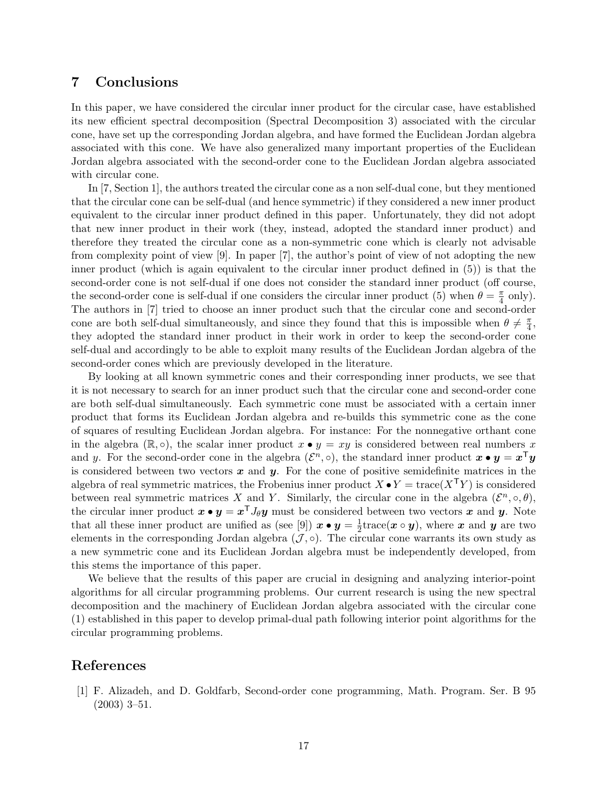# 7 Conclusions

In this paper, we have considered the circular inner product for the circular case, have established its new efficient spectral decomposition (Spectral Decomposition 3) associated with the circular cone, have set up the corresponding Jordan algebra, and have formed the Euclidean Jordan algebra associated with this cone. We have also generalized many important properties of the Euclidean Jordan algebra associated with the second-order cone to the Euclidean Jordan algebra associated with circular cone.

In [7, Section 1], the authors treated the circular cone as a non self-dual cone, but they mentioned that the circular cone can be self-dual (and hence symmetric) if they considered a new inner product equivalent to the circular inner product defined in this paper. Unfortunately, they did not adopt that new inner product in their work (they, instead, adopted the standard inner product) and therefore they treated the circular cone as a non-symmetric cone which is clearly not advisable from complexity point of view [9]. In paper [7], the author's point of view of not adopting the new inner product (which is again equivalent to the circular inner product defined in (5)) is that the second-order cone is not self-dual if one does not consider the standard inner product (off course, the second-order cone is self-dual if one considers the circular inner product (5) when  $\theta = \frac{\pi}{4}$  $\frac{\pi}{4}$  only). The authors in [7] tried to choose an inner product such that the circular cone and second-order cone are both self-dual simultaneously, and since they found that this is impossible when  $\theta \neq \frac{\pi}{4}$  $\frac{\pi}{4}$ , they adopted the standard inner product in their work in order to keep the second-order cone self-dual and accordingly to be able to exploit many results of the Euclidean Jordan algebra of the second-order cones which are previously developed in the literature.

By looking at all known symmetric cones and their corresponding inner products, we see that it is not necessary to search for an inner product such that the circular cone and second-order cone are both self-dual simultaneously. Each symmetric cone must be associated with a certain inner product that forms its Euclidean Jordan algebra and re-builds this symmetric cone as the cone of squares of resulting Euclidean Jordan algebra. For instance: For the nonnegative orthant cone in the algebra ( $\mathbb{R}, \circ$ ), the scalar inner product  $x \bullet y = xy$  is considered between real numbers x and y. For the second-order cone in the algebra  $(\mathcal{E}^n, \circ)$ , the standard inner product  $\boldsymbol{x} \bullet \boldsymbol{y} = \boldsymbol{x}^\top \boldsymbol{y}$ is considered between two vectors  $x$  and  $y$ . For the cone of positive semidefinite matrices in the algebra of real symmetric matrices, the Frobenius inner product  $X \bullet Y = \text{trace}(X^{\mathsf{T}} Y)$  is considered between real symmetric matrices X and Y. Similarly, the circular cone in the algebra  $(\mathcal{E}^n, \circ, \theta)$ , the circular inner product  $x \bullet y = x^{\mathsf{T}} J_{\theta} y$  must be considered between two vectors  $x$  and  $y$ . Note that all these inner product are unified as (see [9])  $x \bullet y = \frac{1}{2}$  $\frac{1}{2}$ trace( $\boldsymbol{x} \circ \boldsymbol{y}$ ), where  $\boldsymbol{x}$  and  $\boldsymbol{y}$  are two elements in the corresponding Jordan algebra  $(\mathcal{J}, \circ)$ . The circular cone warrants its own study as a new symmetric cone and its Euclidean Jordan algebra must be independently developed, from this stems the importance of this paper.

We believe that the results of this paper are crucial in designing and analyzing interior-point algorithms for all circular programming problems. Our current research is using the new spectral decomposition and the machinery of Euclidean Jordan algebra associated with the circular cone (1) established in this paper to develop primal-dual path following interior point algorithms for the circular programming problems.

# References

[1] F. Alizadeh, and D. Goldfarb, Second-order cone programming, Math. Program. Ser. B 95 (2003) 3–51.